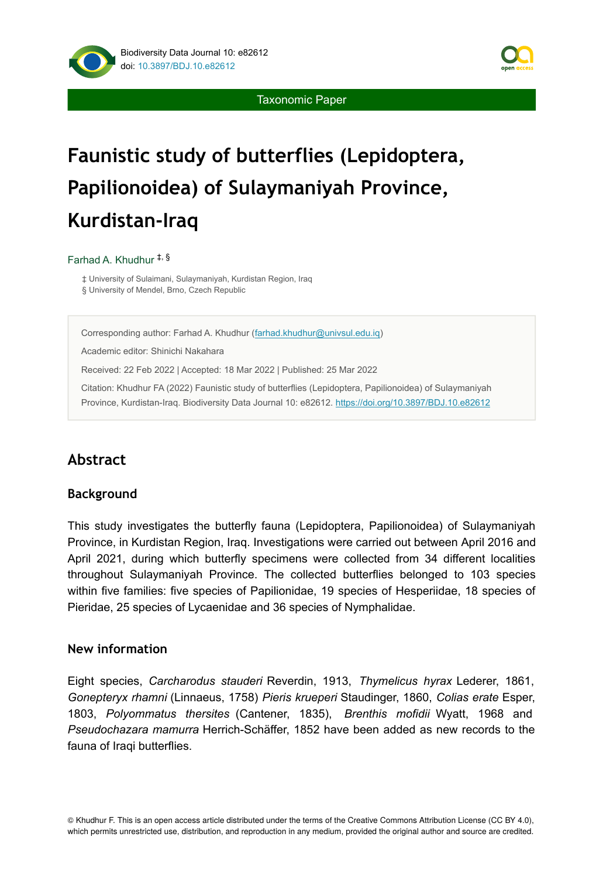

Taxonomic Paper

# **Faunistic study of butterflies (Lepidoptera, Papilionoidea) of Sulaymaniyah Province, Kurdistan-Iraq**

#### Farhad A. Khudhur ‡, §

‡ University of Sulaimani, Sulaymaniyah, Kurdistan Region, Iraq § University of Mendel, Brno, Czech Republic

Corresponding author: Farhad A. Khudhur ([farhad.khudhur@univsul.edu.iq\)](mailto:farhad.khudhur@univsul.edu.iq)

Academic editor: Shinichi Nakahara

Received: 22 Feb 2022 | Accepted: 18 Mar 2022 | Published: 25 Mar 2022

Citation: Khudhur FA (2022) Faunistic study of butterflies (Lepidoptera, Papilionoidea) of Sulaymaniyah Province, Kurdistan-Iraq. Biodiversity Data Journal 10: e82612.<https://doi.org/10.3897/BDJ.10.e82612>

# **Abstract**

### **Background**

This study investigates the butterfly fauna (Lepidoptera, Papilionoidea) of Sulaymaniyah Province, in Kurdistan Region, Iraq. Investigations were carried out between April 2016 and April 2021, during which butterfly specimens were collected from 34 different localities throughout Sulaymaniyah Province. The collected butterflies belonged to 103 species within five families: five species of Papilionidae, 19 species of Hesperiidae, 18 species of Pieridae, 25 species of Lycaenidae and 36 species of Nymphalidae.

### **New information**

Eight species, *Carcharodus stauderi* Reverdin, 1913, *Thymelicus hyrax* Lederer, 1861, *Gonepteryx rhamni* (Linnaeus, 1758) *Pieris krueperi* Staudinger, 1860, *Colias erate* Esper, 1803, *Polyommatus thersites* (Cantener, 1835), *Brenthis mofidii* Wyatt, 1968 and *Pseudochazara mamurra* Herrich-Schäffer, 1852 have been added as new records to the fauna of Iraqi butterflies.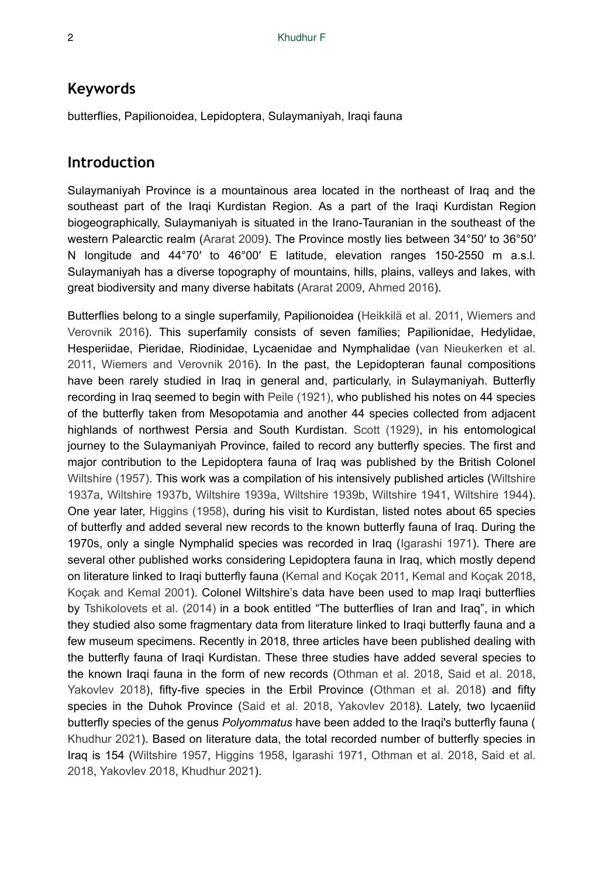### **Keywords**

butterflies, Papilionoidea, Lepidoptera, Sulaymaniyah, Iraqi fauna

### **Introduction**

Sulaymaniyah Province is a mountainous area located in the northeast of Iraq and the southeast part of the Iraqi Kurdistan Region. As a part of the Iraqi Kurdistan Region biogeographically, Sulaymaniyah is situated in the Irano-Tauranian in the southeast of the western Palearctic realm ([Ararat 2009\)](#page-26-0). The Province mostly lies between 34°50′ to 36°50′ N longitude and 44°70′ to 46°00′ E latitude, elevation ranges 150-2550 m a.s.l. Sulaymaniyah has a diverse topography of mountains, hills, plains, valleys and lakes, with great biodiversity and many diverse habitats ([Ararat 2009,](#page-26-0) [Ahmed 2016\)](#page-26-1).

Butterflies belong to a single superfamily, Papilionoidea [\(Heikkilä et al. 2011,](#page-27-0) [Wiemers and](#page-28-0) [Verovnik 2016](#page-28-0)). This superfamily consists of seven families; Papilionidae, Hedylidae, Hesperiidae, Pieridae, Riodinidae, Lycaenidae and Nymphalidae [\(van Nieukerken et al.](#page-28-1) [2011,](#page-28-1) [Wiemers and Verovnik 2016](#page-28-0)). In the past, the Lepidopteran faunal compositions have been rarely studied in Iraq in general and, particularly, in Sulaymaniyah. Butterfly recording in Iraq seemed to begin with [Peile \(1921\)](#page-27-1), who published his notes on 44 species of the butterfly taken from Mesopotamia and another 44 species collected from adjacent highlands of northwest Persia and South Kurdistan. [Scott \(1929\)](#page-27-2), in his entomological journey to the Sulaymaniyah Province, failed to record any butterfly species. The first and major contribution to the Lepidoptera fauna of Iraq was published by the British Colonel [Wiltshire \(1957\).](#page-28-2) This work was a compilation of his intensively published articles ([Wiltshire](#page-28-3) [1937a](#page-28-3), [Wiltshire 1937b,](#page-28-4) [Wiltshire 1939a](#page-28-5), [Wiltshire 1939b,](#page-28-6) [Wiltshire 1941](#page-28-7), [Wiltshire 1944\)](#page-28-8). One year later, [Higgins \(1958\)](#page-27-3), during his visit to Kurdistan, listed notes about 65 species of butterfly and added several new records to the known butterfly fauna of Iraq. During the 1970s, only a single Nymphalid species was recorded in Iraq ([Igarashi 1971](#page-27-4)). There are several other published works considering Lepidoptera fauna in Iraq, which mostly depend on literature linked to Iraqi butterfly fauna ([Kemal and Koçak 2011](#page-27-5), [Kemal and Koçak 2018,](#page-27-6) [Koçak and Kemal 2001\)](#page-27-7). Colonel Wiltshire's data have been used to map Iraqi butterflies by [Tshikolovets et al. \(2014\)](#page-28-9) in a book entitled "The butterflies of Iran and Iraq", in which they studied also some fragmentary data from literature linked to Iraqi butterfly fauna and a few museum specimens. Recently in 2018, three articles have been published dealing with the butterfly fauna of Iraqi Kurdistan. These three studies have added several species to the known Iraqi fauna in the form of new records [\(Othman et al. 2018,](#page-27-8) [Said et al. 2018,](#page-27-9) [Yakovlev 2018](#page-28-10)), fifty-five species in the Erbil Province ([Othman et al. 2018\)](#page-27-8) and fifty species in the Duhok Province ([Said et al. 2018](#page-27-9), [Yakovlev 2018](#page-28-10)). Lately, two lycaeniid butterfly species of the genus *Polyommatus* have been added to the Iraqi's butterfly fauna ( [Khudhur 2021\)](#page-27-10). Based on literature data, the total recorded number of butterfly species in Iraq is 154 ([Wiltshire 1957,](#page-28-2) [Higgins 1958](#page-27-3), [Igarashi 1971,](#page-27-4) [Othman et al. 2018](#page-27-8), [Said et al.](#page-27-9) [2018](#page-27-9), [Yakovlev 2018,](#page-28-10) [Khudhur 2021](#page-27-10)).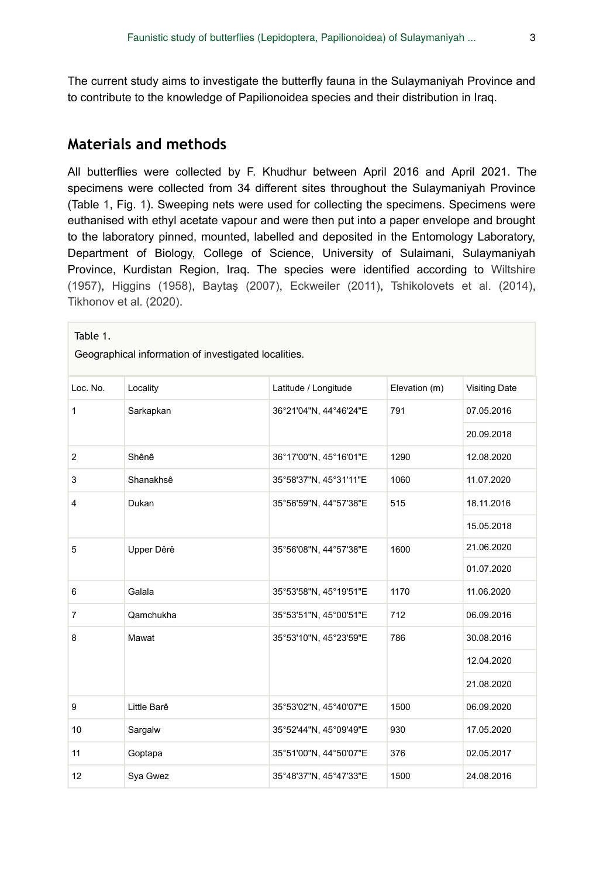The current study aims to investigate the butterfly fauna in the Sulaymaniyah Province and to contribute to the knowledge of Papilionoidea species and their distribution in Iraq.

### **Materials and methods**

All butterflies were collected by F. Khudhur between April 2016 and April 2021. The specimens were collected from 34 different sites throughout the Sulaymaniyah Province (Table [1](#page-2-0), Fig. [1\)](#page-5-0). Sweeping nets were used for collecting the specimens. Specimens were euthanised with ethyl acetate vapour and were then put into a paper envelope and brought to the laboratory pinned, mounted, labelled and deposited in the Entomology Laboratory, Department of Biology, College of Science, University of Sulaimani, Sulaymaniyah Province, Kurdistan Region, Iraq. The species were identified according to [Wiltshire](#page-28-2) [\(1957\)](#page-28-2), [Higgins \(1958\),](#page-27-3) Baytaş [\(2007\),](#page-27-11) [Eckweiler \(2011\),](#page-27-12) [Tshikolovets et al. \(2014\),](#page-28-9) [Tikhonov et al. \(2020\)](#page-28-11).

<span id="page-2-0"></span>

| Table 1.<br>Geographical information of investigated localities. |             |                        |               |                      |  |  |  |
|------------------------------------------------------------------|-------------|------------------------|---------------|----------------------|--|--|--|
| Loc. No.                                                         | Locality    | Latitude / Longitude   | Elevation (m) | <b>Visiting Date</b> |  |  |  |
| $\mathbf{1}$                                                     | Sarkapkan   | 36°21'04"N, 44°46'24"E | 791           | 07.05.2016           |  |  |  |
|                                                                  |             |                        |               | 20.09.2018           |  |  |  |
| $\overline{2}$                                                   | Shênê       | 36°17'00"N, 45°16'01"E | 1290          | 12.08.2020           |  |  |  |
| 3                                                                | Shanakhsê   | 35°58'37"N, 45°31'11"E | 1060          | 11.07.2020           |  |  |  |
| 4                                                                | Dukan       | 35°56'59"N, 44°57'38"E | 515           | 18.11.2016           |  |  |  |
|                                                                  |             |                        |               | 15.05.2018           |  |  |  |
| 5                                                                | Upper Dêrê  | 35°56'08"N, 44°57'38"E | 1600          | 21.06.2020           |  |  |  |
|                                                                  |             |                        |               | 01.07.2020           |  |  |  |
| 6                                                                | Galala      | 35°53'58"N, 45°19'51"E | 1170          | 11.06.2020           |  |  |  |
| $\overline{7}$                                                   | Qamchukha   | 35°53'51"N, 45°00'51"E | 712           | 06.09.2016           |  |  |  |
| 8                                                                | Mawat       | 35°53'10"N, 45°23'59"E | 786           | 30.08.2016           |  |  |  |
|                                                                  |             |                        |               | 12.04.2020           |  |  |  |
|                                                                  |             |                        |               | 21.08.2020           |  |  |  |
| 9                                                                | Little Barê | 35°53'02"N, 45°40'07"E | 1500          | 06.09.2020           |  |  |  |
| 10                                                               | Sargalw     | 35°52'44"N, 45°09'49"E | 930           | 17.05.2020           |  |  |  |
| 11                                                               | Goptapa     | 35°51'00"N, 44°50'07"E | 376           | 02.05.2017           |  |  |  |
| 12                                                               | Sya Gwez    | 35°48'37"N, 45°47'33"E | 1500          | 24.08.2016           |  |  |  |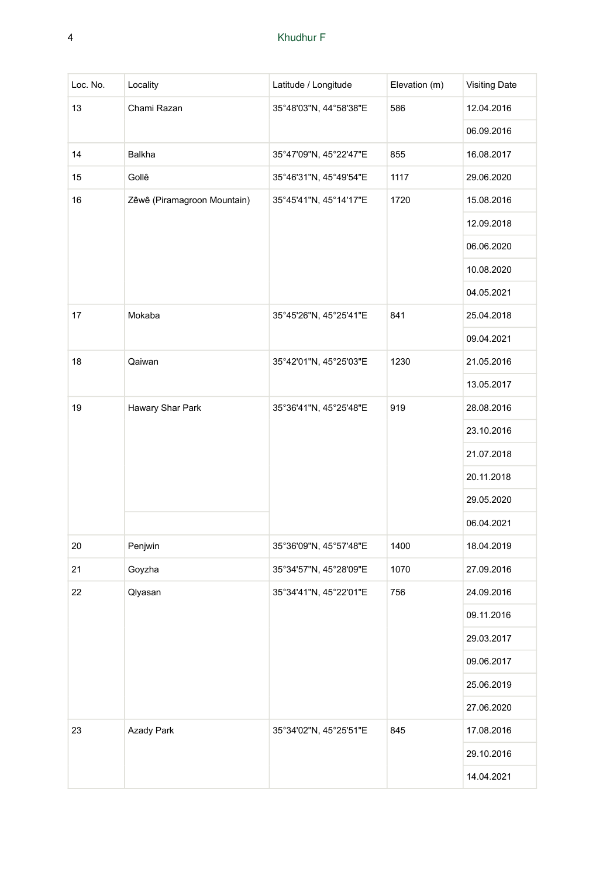| Loc. No. | Locality                    | Latitude / Longitude   | Elevation (m) | <b>Visiting Date</b> |
|----------|-----------------------------|------------------------|---------------|----------------------|
| 13       | Chami Razan                 | 35°48'03"N, 44°58'38"E | 586           | 12.04.2016           |
|          |                             |                        |               | 06.09.2016           |
| 14       | Balkha                      | 35°47'09"N, 45°22'47"E | 855           | 16.08.2017           |
| 15       | Gollê                       | 35°46'31"N, 45°49'54"E | 1117          | 29.06.2020           |
| 16       | Zêwê (Piramagroon Mountain) | 35°45'41"N, 45°14'17"E | 1720          | 15.08.2016           |
|          |                             |                        |               | 12.09.2018           |
|          |                             |                        |               | 06.06.2020           |
|          |                             |                        |               | 10.08.2020           |
|          |                             |                        |               | 04.05.2021           |
| 17       | Mokaba                      | 35°45'26"N, 45°25'41"E | 841           | 25.04.2018           |
|          |                             |                        |               | 09.04.2021           |
| 18       | Qaiwan                      | 35°42'01"N, 45°25'03"E | 1230          | 21.05.2016           |
|          |                             |                        |               | 13.05.2017           |
| 19       | Hawary Shar Park            | 35°36'41"N, 45°25'48"E | 919           | 28.08.2016           |
|          |                             |                        |               | 23.10.2016           |
|          |                             |                        |               | 21.07.2018           |
|          |                             |                        |               | 20.11.2018           |
|          |                             |                        |               | 29.05.2020           |
|          |                             |                        |               | 06.04.2021           |
| 20       | Penjwin                     | 35°36'09"N, 45°57'48"E | 1400          | 18.04.2019           |
| 21       | Goyzha                      | 35°34'57"N, 45°28'09"E | 1070          | 27.09.2016           |
| 22       | Qlyasan                     | 35°34'41"N, 45°22'01"E | 756           | 24.09.2016           |
|          |                             |                        |               | 09.11.2016           |
|          |                             |                        |               | 29.03.2017           |
|          |                             |                        |               | 09.06.2017           |
|          |                             |                        |               | 25.06.2019           |
|          |                             |                        |               | 27.06.2020           |
| 23       | <b>Azady Park</b>           | 35°34'02"N, 45°25'51"E | 845           | 17.08.2016           |
|          |                             |                        |               | 29.10.2016           |
|          |                             |                        |               | 14.04.2021           |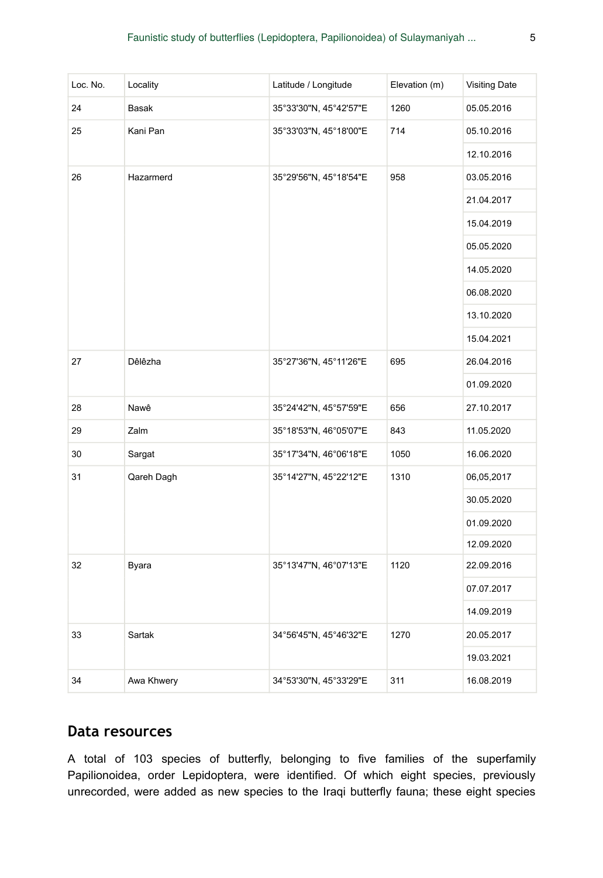| Loc. No. | Locality     | Latitude / Longitude   | Elevation (m) | <b>Visiting Date</b> |
|----------|--------------|------------------------|---------------|----------------------|
| 24       | <b>Basak</b> | 35°33'30"N, 45°42'57"E | 1260          | 05.05.2016           |
| 25       | Kani Pan     | 35°33'03"N, 45°18'00"E | 714           | 05.10.2016           |
|          |              |                        |               | 12.10.2016           |
| 26       | Hazarmerd    | 35°29'56"N, 45°18'54"E | 958           | 03.05.2016           |
|          |              |                        |               | 21.04.2017           |
|          |              |                        |               | 15.04.2019           |
|          |              |                        |               | 05.05.2020           |
|          |              |                        |               | 14.05.2020           |
|          |              |                        |               | 06.08.2020           |
|          |              |                        |               | 13.10.2020           |
|          |              |                        |               | 15.04.2021           |
| 27       | Dêlêzha      | 35°27'36"N, 45°11'26"E | 695           | 26.04.2016           |
|          |              |                        |               | 01.09.2020           |
| 28       | Nawê         | 35°24'42"N, 45°57'59"E | 656           | 27.10.2017           |
| 29       | Zalm         | 35°18'53"N, 46°05'07"E | 843           | 11.05.2020           |
| 30       | Sargat       | 35°17'34"N, 46°06'18"E | 1050          | 16.06.2020           |
| 31       | Qareh Dagh   | 35°14'27"N, 45°22'12"E | 1310          | 06,05,2017           |
|          |              |                        |               | 30.05.2020           |
|          |              |                        |               | 01.09.2020           |
|          |              |                        |               | 12.09.2020           |
| 32       | Byara        | 35°13'47"N, 46°07'13"E | 1120          | 22.09.2016           |
|          |              |                        |               | 07.07.2017           |
|          |              |                        |               | 14.09.2019           |
| 33       | Sartak       | 34°56'45"N, 45°46'32"E | 1270          | 20.05.2017           |
|          |              |                        |               | 19.03.2021           |
| 34       | Awa Khwery   | 34°53'30"N, 45°33'29"E | 311           | 16.08.2019           |

### **Data resources**

A total of 103 species of butterfly, belonging to five families of the superfamily Papilionoidea, order Lepidoptera, were identified. Of which eight species, previously unrecorded, were added as new species to the Iraqi butterfly fauna; these eight species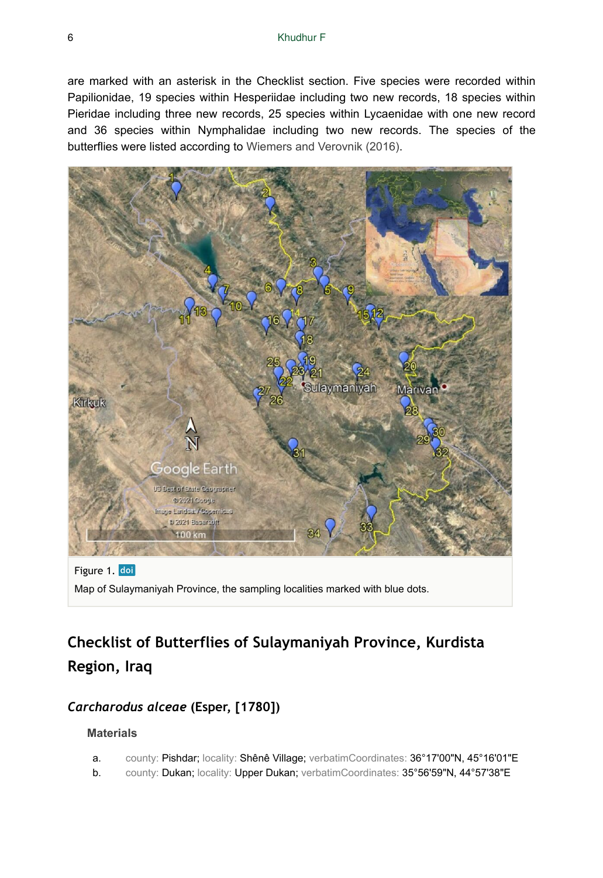are marked with an asterisk in the Checklist section. Five species were recorded within Papilionidae, 19 species within Hesperiidae including two new records, 18 species within Pieridae including three new records, 25 species within Lycaenidae with one new record and 36 species within Nymphalidae including two new records. The species of the butterflies were listed according to [Wiemers and Verovnik \(2016\).](#page-28-0)

<span id="page-5-0"></span>

Figure 1. doi Map of Sulaymaniyah Province, the sampling localities marked with blue dots.

# **Checklist of Butterflies of Sulaymaniyah Province, Kurdista Region, Iraq**

# *Carcharodus alceae* **(Esper, [1780])**

- a. county: Pishdar; locality: Shênê Village; verbatimCoordinates: 36°17'00"N, 45°16'01"E
- b. county: Dukan; locality: Upper Dukan; verbatimCoordinates: 35°56'59"N, 44°57'38"E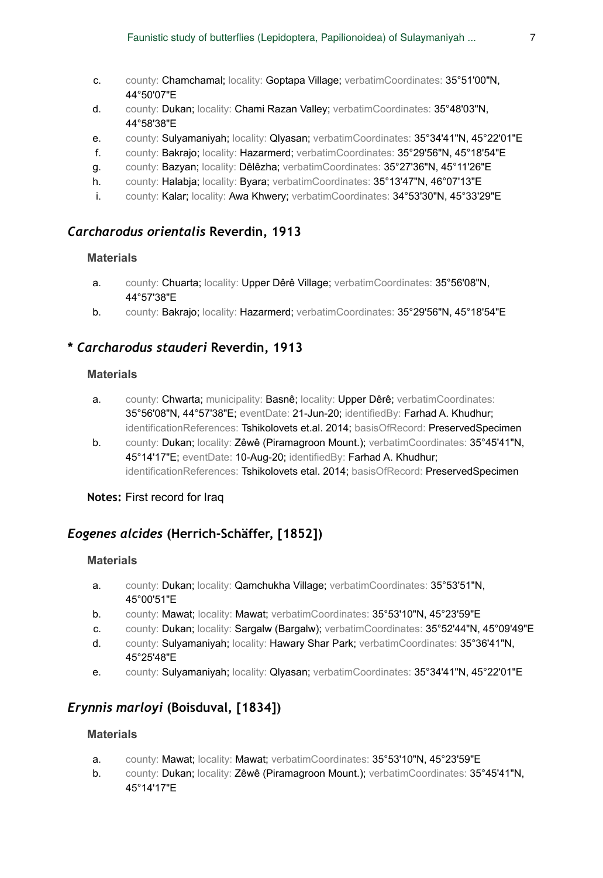- c. county: Chamchamal; locality: Goptapa Village; verbatimCoordinates: 35°51'00"N, 44°50'07"E
- d. county: Dukan; locality: Chami Razan Valley; verbatimCoordinates: 35°48'03"N, 44°58'38"E
- e. county: Sulyamaniyah; locality: Qlyasan; verbatimCoordinates: 35°34'41"N, 45°22'01"E
- f. county: Bakrajo; locality: Hazarmerd; verbatimCoordinates: 35°29'56"N, 45°18'54"E
- g. county: Bazyan; locality: Dêlêzha; verbatimCoordinates: 35°27'36"N, 45°11'26"E
- h. county: Halabja; locality: Byara; verbatimCoordinates: 35°13'47"N, 46°07'13"E
- i. county: Kalar; locality: Awa Khwery; verbatimCoordinates: 34°53'30"N, 45°33'29"E

### *Carcharodus orientalis* **Reverdin, 1913**

#### **Materials**

- a. county: Chuarta; locality: Upper Dêrê Village; verbatimCoordinates: 35°56'08"N, 44°57'38"E
- b. county: Bakrajo; locality: Hazarmerd; verbatimCoordinates: 35°29'56"N, 45°18'54"E

### **\*** *Carcharodus stauderi* **Reverdin, 1913**

#### **Materials**

- a. county: Chwarta; municipality: Basnê; locality: Upper Dêrê; verbatimCoordinates: 35°56'08"N, 44°57'38"E; eventDate: 21-Jun-20; identifiedBy: Farhad A. Khudhur; identificationReferences: Tshikolovets et.al. 2014; basisOfRecord: PreservedSpecimen
- b. county: Dukan; locality: Zêwê (Piramagroon Mount.); verbatimCoordinates: 35°45'41"N, 45°14'17"E; eventDate: 10-Aug-20; identifiedBy: Farhad A. Khudhur; identificationReferences: Tshikolovets etal. 2014; basisOfRecord: PreservedSpecimen

### **Notes:** First record for Iraq

### *Eogenes alcides* **(Herrich-Schäffer, [1852])**

#### **Materials**

- a. county: Dukan; locality: Qamchukha Village; verbatimCoordinates: 35°53'51"N, 45°00'51"E
- b. county: Mawat; locality: Mawat; verbatimCoordinates: 35°53'10"N, 45°23'59"E
- c. county: Dukan; locality: Sargalw (Bargalw); verbatimCoordinates: 35°52'44"N, 45°09'49"E
- d. county: Sulyamaniyah; locality: Hawary Shar Park; verbatimCoordinates: 35°36'41"N, 45°25'48"E
- e. county: Sulyamaniyah; locality: Qlyasan; verbatimCoordinates: 35°34'41"N, 45°22'01"E

# *Erynnis marloyi* **(Boisduval, [1834])**

- a. county: Mawat; locality: Mawat; verbatimCoordinates: 35°53'10"N, 45°23'59"E
- b. county: Dukan; locality: Zêwê (Piramagroon Mount.); verbatimCoordinates: 35°45'41"N, 45°14'17"E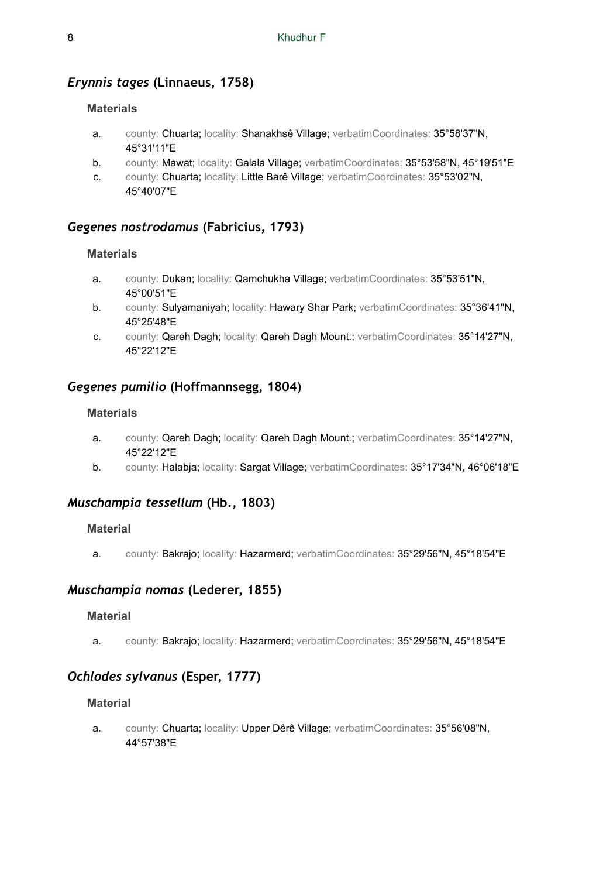### *Erynnis tages* **(Linnaeus, 1758)**

### **Materials**

- a. county: Chuarta; locality: Shanakhsê Village; verbatimCoordinates: 35°58'37"N, 45°31'11"E
- b. county: Mawat; locality: Galala Village; verbatimCoordinates: 35°53'58"N, 45°19'51"E
- c. county: Chuarta; locality: Little Barê Village; verbatimCoordinates: 35°53'02"N, 45°40'07"E

### *Gegenes nostrodamus* **(Fabricius, 1793)**

#### **Materials**

- a. county: Dukan; locality: Qamchukha Village; verbatimCoordinates: 35°53'51"N, 45°00'51"E
- b. county: Sulyamaniyah; locality: Hawary Shar Park; verbatimCoordinates: 35°36'41"N, 45°25'48"E
- c. county: Qareh Dagh; locality: Qareh Dagh Mount.; verbatimCoordinates: 35°14'27"N, 45°22'12"E

### *Gegenes pumilio* **(Hoffmannsegg, 1804)**

#### **Materials**

- a. county: Qareh Dagh; locality: Qareh Dagh Mount.; verbatimCoordinates: 35°14'27"N, 45°22'12"E
- b. county: Halabja; locality: Sargat Village; verbatimCoordinates: 35°17'34"N, 46°06'18"E

### *Muschampia tessellum* **(Hb., 1803)**

#### **Material**

a. county: Bakrajo; locality: Hazarmerd; verbatimCoordinates: 35°29'56"N, 45°18'54"E

### *Muschampia nomas* **(Lederer, 1855)**

#### **Material**

a. county: Bakrajo; locality: Hazarmerd; verbatimCoordinates: 35°29'56"N, 45°18'54"E

### *Ochlodes sylvanus* **(Esper, 1777)**

#### **Material**

a. county: Chuarta; locality: Upper Dêrê Village; verbatimCoordinates: 35°56'08"N, 44°57'38"E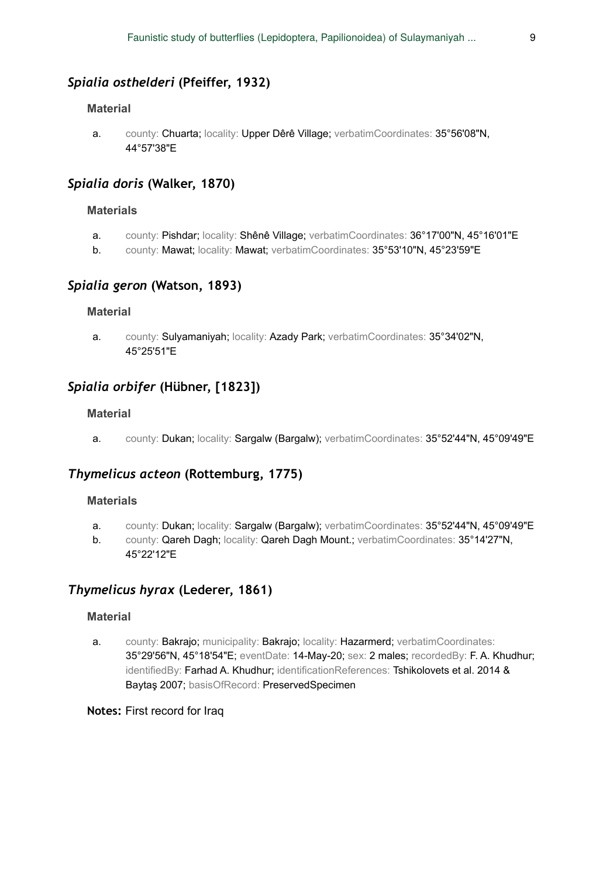### *Spialia osthelderi* **(Pfeiffer, 1932)**

#### **Material**

a. county: Chuarta; locality: Upper Dêrê Village; verbatimCoordinates: 35°56'08"N, 44°57'38"E

### *Spialia doris* **(Walker, 1870)**

#### **Materials**

- a. county: Pishdar; locality: Shênê Village; verbatimCoordinates: 36°17'00"N, 45°16'01"E
- b. county: Mawat; locality: Mawat; verbatimCoordinates: 35°53'10"N, 45°23'59"E

#### *Spialia geron* **(Watson, 1893)**

### **Material**

a. county: Sulyamaniyah; locality: Azady Park; verbatimCoordinates: 35°34'02"N, 45°25'51"E

### *Spialia orbifer* **(Hübner, [1823])**

#### **Material**

a. county: Dukan; locality: Sargalw (Bargalw); verbatimCoordinates: 35°52'44"N, 45°09'49"E

### *Thymelicus acteon* **(Rottemburg, 1775)**

#### **Materials**

- a. county: Dukan; locality: Sargalw (Bargalw); verbatimCoordinates: 35°52'44"N, 45°09'49"E
- b. county: Qareh Dagh; locality: Qareh Dagh Mount.; verbatimCoordinates: 35°14'27"N, 45°22'12"E

### *Thymelicus hyrax* **(Lederer, 1861)**

#### **Material**

a. county: Bakrajo; municipality: Bakrajo; locality: Hazarmerd; verbatimCoordinates: 35°29'56"N, 45°18'54"E; eventDate: 14-May-20; sex: 2 males; recordedBy: F. A. Khudhur; identifiedBy: Farhad A. Khudhur; identificationReferences: Tshikolovets et al. 2014 & Baytaş 2007; basisOfRecord: PreservedSpecimen

#### **Notes:** First record for Iraq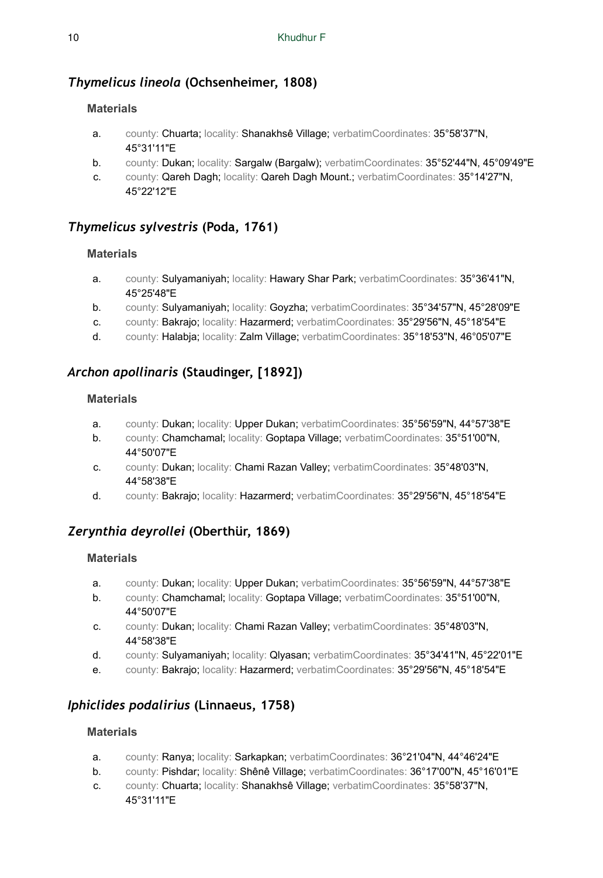### *Thymelicus lineola* **(Ochsenheimer, 1808)**

### **Materials**

- a. county: Chuarta; locality: Shanakhsê Village; verbatimCoordinates: 35°58'37"N, 45°31'11"E
- b. county: Dukan; locality: Sargalw (Bargalw); verbatimCoordinates: 35°52'44"N, 45°09'49"E
- c. county: Qareh Dagh; locality: Qareh Dagh Mount.; verbatimCoordinates: 35°14'27"N, 45°22'12"E

### *Thymelicus sylvestris* **(Poda, 1761)**

### **Materials**

- a. county: Sulyamaniyah; locality: Hawary Shar Park; verbatimCoordinates: 35°36'41"N, 45°25'48"E
- b. county: Sulyamaniyah; locality: Goyzha; verbatimCoordinates: 35°34'57"N, 45°28'09"E
- c. county: Bakrajo; locality: Hazarmerd; verbatimCoordinates: 35°29'56"N, 45°18'54"E
- d. county: Halabja; locality: Zalm Village; verbatimCoordinates: 35°18'53"N, 46°05'07"E

### *Archon apollinaris* **(Staudinger, [1892])**

### **Materials**

- a. county: Dukan; locality: Upper Dukan; verbatimCoordinates: 35°56'59"N, 44°57'38"E
- b. county: Chamchamal; locality: Goptapa Village; verbatimCoordinates: 35°51'00"N, 44°50'07"E
- c. county: Dukan; locality: Chami Razan Valley; verbatimCoordinates: 35°48'03"N, 44°58'38"E
- d. county: Bakrajo; locality: Hazarmerd; verbatimCoordinates: 35°29'56"N, 45°18'54"E

### *Zerynthia deyrollei* **(Oberthür, 1869)**

### **Materials**

- a. county: Dukan; locality: Upper Dukan; verbatimCoordinates: 35°56'59"N, 44°57'38"E
- b. county: Chamchamal; locality: Goptapa Village; verbatimCoordinates: 35°51'00"N, 44°50'07"E
- c. county: Dukan; locality: Chami Razan Valley; verbatimCoordinates: 35°48'03"N, 44°58'38"E
- d. county: Sulyamaniyah; locality: Qlyasan; verbatimCoordinates: 35°34'41"N, 45°22'01"E
- e. county: Bakrajo; locality: Hazarmerd; verbatimCoordinates: 35°29'56"N, 45°18'54"E

### *Iphiclides podalirius* **(Linnaeus, 1758)**

- a. county: Ranya; locality: Sarkapkan; verbatimCoordinates: 36°21'04"N, 44°46'24"E
- b. county: Pishdar; locality: Shênê Village; verbatimCoordinates: 36°17'00"N, 45°16'01"E
- c. county: Chuarta; locality: Shanakhsê Village; verbatimCoordinates: 35°58'37"N, 45°31'11"E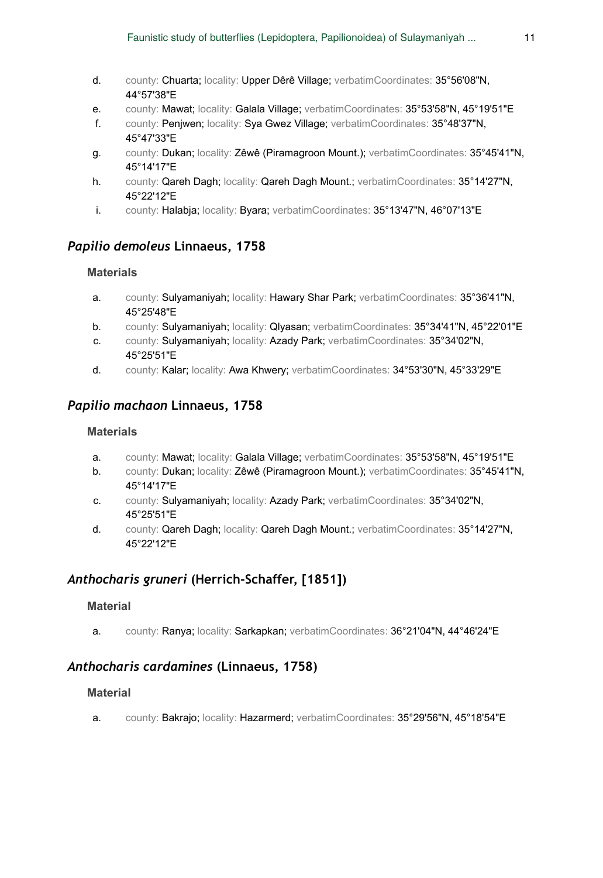- d. county: Chuarta; locality: Upper Dêrê Village; verbatimCoordinates: 35°56'08"N, 44°57'38"E
- e. county: Mawat; locality: Galala Village; verbatimCoordinates: 35°53'58"N, 45°19'51"E
- f. county: Penjwen; locality: Sya Gwez Village; verbatimCoordinates: 35°48'37"N, 45°47'33"E
- g. county: Dukan; locality: Zêwê (Piramagroon Mount.); verbatimCoordinates: 35°45'41"N, 45°14'17"E
- h. county: Qareh Dagh; locality: Qareh Dagh Mount.; verbatimCoordinates: 35°14'27"N, 45°22'12"E
- i. county: Halabja; locality: Byara; verbatimCoordinates: 35°13'47"N, 46°07'13"E

### *Papilio demoleus* **Linnaeus, 1758**

### **Materials**

- a. county: Sulyamaniyah; locality: Hawary Shar Park; verbatimCoordinates: 35°36'41"N, 45°25'48"E
- b. county: Sulyamaniyah; locality: Qlyasan; verbatimCoordinates: 35°34'41"N, 45°22'01"E
- c. county: Sulyamaniyah; locality: Azady Park; verbatimCoordinates: 35°34'02"N, 45°25'51"E
- d. county: Kalar; locality: Awa Khwery; verbatimCoordinates: 34°53'30"N, 45°33'29"E

### *Papilio machaon* **Linnaeus, 1758**

### **Materials**

- a. county: Mawat; locality: Galala Village; verbatimCoordinates: 35°53'58"N, 45°19'51"E
- b. county: Dukan; locality: Zêwê (Piramagroon Mount.); verbatimCoordinates: 35°45'41"N, 45°14'17"E
- c. county: Sulyamaniyah; locality: Azady Park; verbatimCoordinates: 35°34'02"N, 45°25'51"E
- d. county: Qareh Dagh; locality: Qareh Dagh Mount.; verbatimCoordinates: 35°14'27"N, 45°22'12"E

### *Anthocharis gruneri* **(Herrich-Schaffer, [1851])**

#### **Material**

a. county: Ranya; locality: Sarkapkan; verbatimCoordinates: 36°21'04"N, 44°46'24"E

### *Anthocharis cardamines* **(Linnaeus, 1758)**

### **Material**

a. county: Bakrajo; locality: Hazarmerd; verbatimCoordinates: 35°29'56"N, 45°18'54"E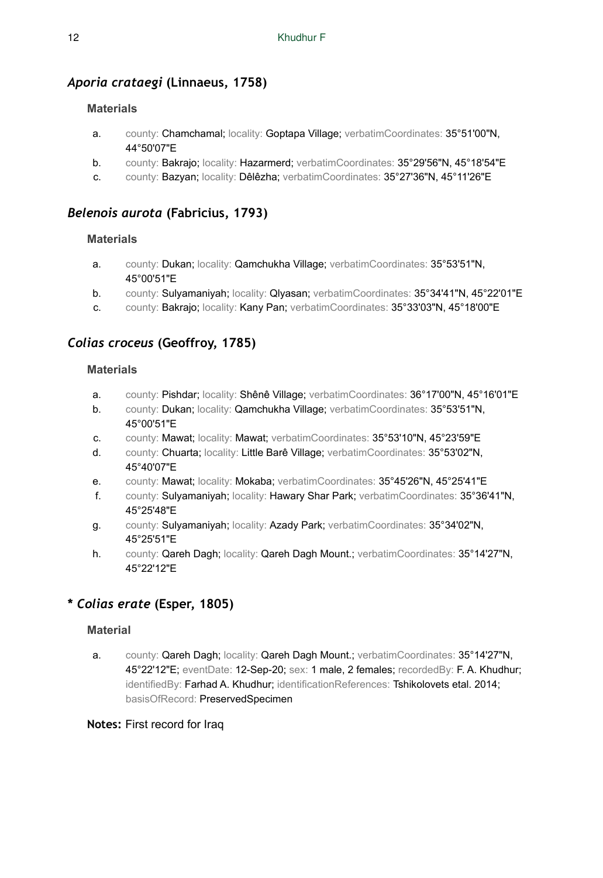### *Aporia crataegi* **(Linnaeus, 1758)**

### **Materials**

- a. county: Chamchamal; locality: Goptapa Village; verbatimCoordinates: 35°51'00"N, 44°50'07"E
- b. county: Bakrajo; locality: Hazarmerd; verbatimCoordinates: 35°29'56"N, 45°18'54"E
- c. county: Bazyan; locality: Dêlêzha; verbatimCoordinates: 35°27'36"N, 45°11'26"E

### *Belenois aurota* **(Fabricius, 1793)**

### **Materials**

- a. county: Dukan; locality: Qamchukha Village; verbatimCoordinates: 35°53'51"N, 45°00'51"E
- b. county: Sulyamaniyah; locality: Qlyasan; verbatimCoordinates: 35°34'41"N, 45°22'01"E
- c. county: Bakrajo; locality: Kany Pan; verbatimCoordinates: 35°33'03"N, 45°18'00"E

### *Colias croceus* **(Geoffroy, 1785)**

### **Materials**

- a. county: Pishdar; locality: Shênê Village; verbatimCoordinates: 36°17'00"N, 45°16'01"E
- b. county: Dukan; locality: Qamchukha Village; verbatimCoordinates: 35°53'51"N, 45°00'51"E
- c. county: Mawat; locality: Mawat; verbatimCoordinates: 35°53'10"N, 45°23'59"E
- d. county: Chuarta; locality: Little Barê Village; verbatimCoordinates: 35°53'02"N, 45°40'07"E
- e. county: Mawat; locality: Mokaba; verbatimCoordinates: 35°45'26"N, 45°25'41"E
- f. county: Sulyamaniyah; locality: Hawary Shar Park; verbatimCoordinates: 35°36'41"N, 45°25'48"E
- g. county: Sulyamaniyah; locality: Azady Park; verbatimCoordinates: 35°34'02"N, 45°25'51"E
- h. county: Qareh Dagh; locality: Qareh Dagh Mount.; verbatimCoordinates: 35°14'27"N, 45°22'12"E

### **\*** *Colias erate* **(Esper, 1805)**

### **Material**

a. county: Qareh Dagh; locality: Qareh Dagh Mount.; verbatimCoordinates: 35°14'27"N, 45°22'12"E; eventDate: 12-Sep-20; sex: 1 male, 2 females; recordedBy: F. A. Khudhur; identifiedBy: Farhad A. Khudhur; identificationReferences: Tshikolovets etal. 2014; basisOfRecord: PreservedSpecimen

### **Notes:** First record for Iraq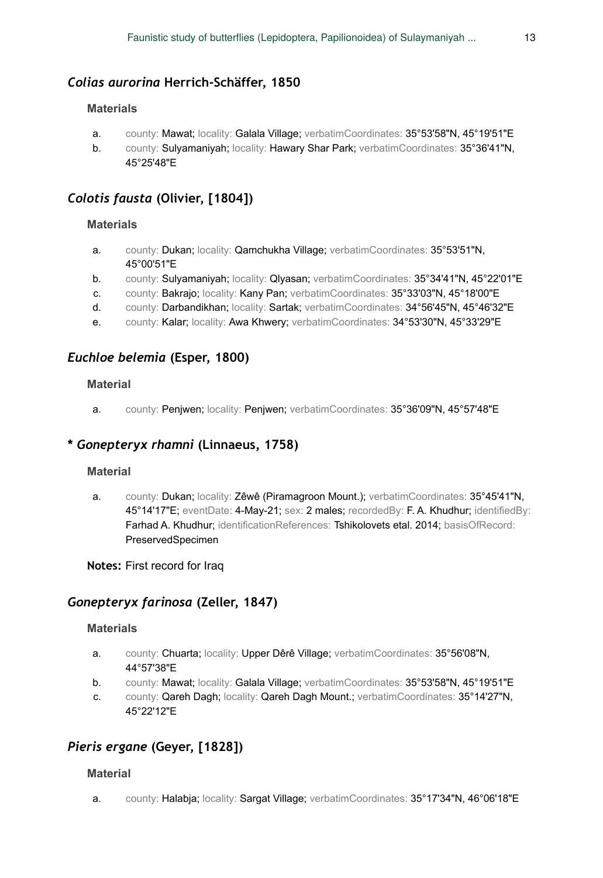### *Colias aurorina* **Herrich-Schäffer, 1850**

#### **Materials**

- a. county: Mawat; locality: Galala Village; verbatimCoordinates: 35°53'58"N, 45°19'51"E
- b. county: Sulyamaniyah; locality: Hawary Shar Park; verbatimCoordinates: 35°36'41"N, 45°25'48"E

### *Colotis fausta* **(Olivier, [1804])**

### **Materials**

- a. county: Dukan; locality: Qamchukha Village; verbatimCoordinates: 35°53'51"N, 45°00'51"E
- b. county: Sulyamaniyah; locality: Qlyasan; verbatimCoordinates: 35°34'41"N, 45°22'01"E
- c. county: Bakrajo; locality: Kany Pan; verbatimCoordinates: 35°33'03"N, 45°18'00"E
- d. county: Darbandikhan; locality: Sartak; verbatimCoordinates: 34°56'45"N, 45°46'32"E
- e. county: Kalar; locality: Awa Khwery; verbatimCoordinates: 34°53'30"N, 45°33'29"E

### *Euchloe belemia* **(Esper, 1800)**

#### **Material**

a. county: Penjwen; locality: Penjwen; verbatimCoordinates: 35°36'09"N, 45°57'48"E

### **\*** *Gonepteryx rhamni* **(Linnaeus, 1758)**

#### **Material**

a. county: Dukan; locality: Zêwê (Piramagroon Mount.); verbatimCoordinates: 35°45'41"N, 45°14'17"E; eventDate: 4-May-21; sex: 2 males; recordedBy: F. A. Khudhur; identifiedBy: Farhad A. Khudhur; identificationReferences: Tshikolovets etal. 2014; basisOfRecord: PreservedSpecimen

#### **Notes:** First record for Iraq

### *Gonepteryx farinosa* **(Zeller, 1847)**

#### **Materials**

- a. county: Chuarta; locality: Upper Dêrê Village; verbatimCoordinates: 35°56'08"N, 44°57'38"E
- b. county: Mawat; locality: Galala Village; verbatimCoordinates: 35°53'58"N, 45°19'51"E
- c. county: Qareh Dagh; locality: Qareh Dagh Mount.; verbatimCoordinates: 35°14'27"N, 45°22'12"E

### *Pieris ergane* **(Geyer, [1828])**

#### **Material**

a. county: Halabja; locality: Sargat Village; verbatimCoordinates: 35°17'34"N, 46°06'18"E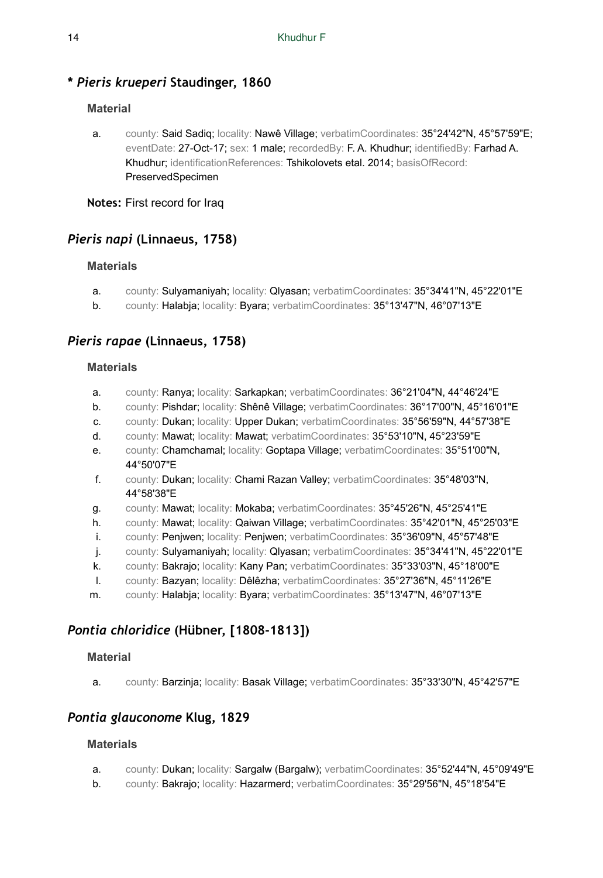### **\*** *Pieris krueperi* **Staudinger, 1860**

### **Material**

a. county: Said Sadiq; locality: Nawê Village; verbatimCoordinates: 35°24'42"N, 45°57'59"E; eventDate: 27-Oct-17; sex: 1 male; recordedBy: F.A. Khudhur; identifiedBy: Farhad A. Khudhur; identificationReferences: Tshikolovets etal. 2014; basisOfRecord: PreservedSpecimen

**Notes:** First record for Iraq

### *Pieris napi* **(Linnaeus, 1758)**

### **Materials**

- a. county: Sulyamaniyah; locality: Qlyasan; verbatimCoordinates: 35°34'41"N, 45°22'01"E
- b. county: Halabja; locality: Byara; verbatimCoordinates: 35°13'47"N, 46°07'13"E

### *Pieris rapae* **(Linnaeus, 1758)**

### **Materials**

- a. county: Ranya; locality: Sarkapkan; verbatimCoordinates: 36°21'04"N, 44°46'24"E
- b. county: Pishdar; locality: Shênê Village; verbatimCoordinates: 36°17'00"N, 45°16'01"E
- c. county: Dukan; locality: Upper Dukan; verbatimCoordinates: 35°56'59"N, 44°57'38"E
- d. county: Mawat; locality: Mawat; verbatimCoordinates: 35°53'10"N, 45°23'59"E
- e. county: Chamchamal; locality: Goptapa Village; verbatimCoordinates: 35°51'00"N, 44°50'07"E
- f. county: Dukan; locality: Chami Razan Valley; verbatimCoordinates: 35°48'03"N, 44°58'38"E
- g. county: Mawat; locality: Mokaba; verbatimCoordinates: 35°45'26"N, 45°25'41"E
- h. county: Mawat; locality: Qaiwan Village; verbatimCoordinates: 35°42'01"N, 45°25'03"E
- i. county: Penjwen; locality: Penjwen; verbatimCoordinates: 35°36'09"N, 45°57'48"E
- j. county: Sulyamaniyah; locality: Qlyasan; verbatimCoordinates: 35°34'41"N, 45°22'01"E
- k. county: Bakrajo; locality: Kany Pan; verbatimCoordinates: 35°33'03"N, 45°18'00"E
- l. county: Bazyan; locality: Dêlêzha; verbatimCoordinates: 35°27'36"N, 45°11'26"E
- m. county: Halabja; locality: Byara; verbatimCoordinates: 35°13'47"N, 46°07'13"E

### *Pontia chloridice* **(Hübner, [1808-1813])**

### **Material**

a. county: Barzinja; locality: Basak Village; verbatimCoordinates: 35°33'30"N, 45°42'57"E

### *Pontia glauconome* **Klug, 1829**

- a. county: Dukan; locality: Sargalw (Bargalw); verbatimCoordinates: 35°52'44"N, 45°09'49"E
- b. county: Bakrajo; locality: Hazarmerd; verbatimCoordinates: 35°29'56"N, 45°18'54"E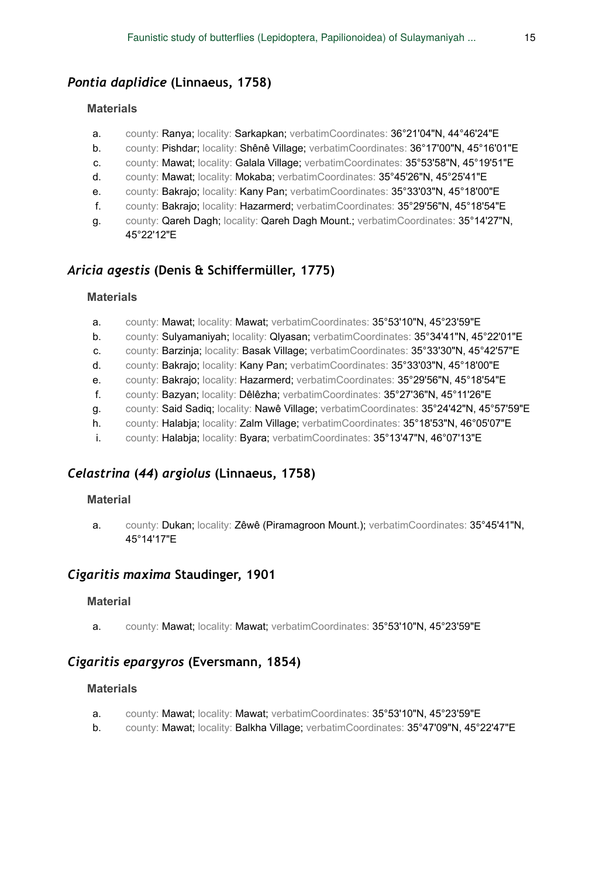### *Pontia daplidice* **(Linnaeus, 1758)**

#### **Materials**

- a. county: Ranya; locality: Sarkapkan; verbatimCoordinates: 36°21'04"N, 44°46'24"E
- b. county: Pishdar; locality: Shênê Village; verbatimCoordinates: 36°17'00"N, 45°16'01"E
- c. county: Mawat; locality: Galala Village; verbatimCoordinates: 35°53'58"N, 45°19'51"E
- d. county: Mawat; locality: Mokaba; verbatimCoordinates: 35°45'26"N, 45°25'41"E
- e. county: Bakrajo; locality: Kany Pan; verbatimCoordinates: 35°33'03"N, 45°18'00"E
- f. county: Bakrajo; locality: Hazarmerd; verbatimCoordinates: 35°29'56"N, 45°18'54"E
- g. county: Qareh Dagh; locality: Qareh Dagh Mount.; verbatimCoordinates: 35°14'27"N, 45°22'12"E

### *Aricia agestis* **(Denis & Schiffermüller, 1775)**

#### **Materials**

- a. county: Mawat; locality: Mawat; verbatimCoordinates: 35°53'10"N, 45°23'59"E
- b. county: Sulyamaniyah; locality: Qlyasan; verbatimCoordinates: 35°34'41"N, 45°22'01"E
- c. county: Barzinja; locality: Basak Village; verbatimCoordinates: 35°33'30"N, 45°42'57"E
- d. county: Bakrajo; locality: Kany Pan; verbatimCoordinates: 35°33'03"N, 45°18'00"E
- e. county: Bakrajo; locality: Hazarmerd; verbatimCoordinates: 35°29'56"N, 45°18'54"E
- f. county: Bazyan; locality: Dêlêzha; verbatimCoordinates: 35°27'36"N, 45°11'26"E
- g. county: Said Sadiq; locality: Nawê Village; verbatimCoordinates: 35°24'42"N, 45°57'59"E
- h. county: Halabja; locality: Zalm Village; verbatimCoordinates: 35°18'53"N, 46°05'07"E
- i. county: Halabja; locality: Byara; verbatimCoordinates: 35°13'47"N, 46°07'13"E

### *Celastrina* **(***44***)** *argiolus* **(Linnaeus, 1758)**

#### **Material**

a. county: Dukan; locality: Zêwê (Piramagroon Mount.); verbatimCoordinates: 35°45'41"N, 45°14'17"E

### *Cigaritis maxima* **Staudinger, 1901**

#### **Material**

a. county: Mawat; locality: Mawat; verbatimCoordinates: 35°53'10"N, 45°23'59"E

### *Cigaritis epargyros* **(Eversmann, 1854)**

- a. county: Mawat; locality: Mawat; verbatimCoordinates: 35°53'10"N, 45°23'59"E
- b. county: Mawat; locality: Balkha Village; verbatimCoordinates: 35°47'09"N, 45°22'47"E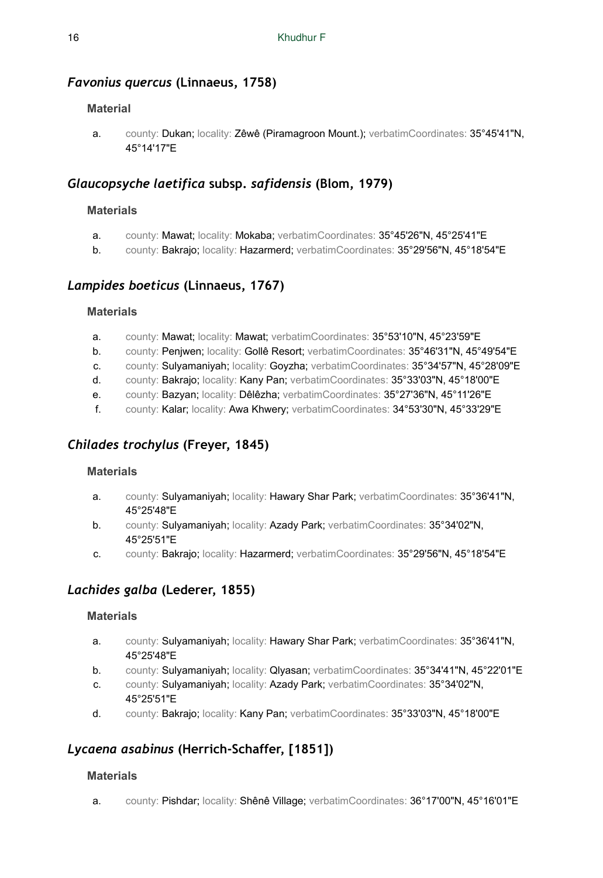### *Favonius quercus* **(Linnaeus, 1758)**

### **Material**

a. county: Dukan; locality: Zêwê (Piramagroon Mount.); verbatimCoordinates: 35°45'41"N, 45°14'17"E

### *Glaucopsyche laetifica* **subsp.** *safidensis* **(Blom, 1979)**

### **Materials**

- a. county: Mawat; locality: Mokaba; verbatimCoordinates: 35°45'26"N, 45°25'41"E
- b. county: Bakrajo; locality: Hazarmerd; verbatimCoordinates: 35°29'56"N, 45°18'54"E

### *Lampides boeticus* **(Linnaeus, 1767)**

### **Materials**

- a. county: Mawat; locality: Mawat; verbatimCoordinates: 35°53'10"N, 45°23'59"E
- b. county: Penjwen; locality: Gollê Resort; verbatimCoordinates: 35°46'31"N, 45°49'54"E
- c. county: Sulyamaniyah; locality: Goyzha; verbatimCoordinates: 35°34'57"N, 45°28'09"E
- d. county: Bakrajo; locality: Kany Pan; verbatimCoordinates: 35°33'03"N, 45°18'00"E
- e. county: Bazyan; locality: Dêlêzha; verbatimCoordinates: 35°27'36"N, 45°11'26"E
- f. county: Kalar; locality: Awa Khwery; verbatimCoordinates: 34°53'30"N, 45°33'29"E

### *Chilades trochylus* **(Freyer, 1845)**

### **Materials**

- a. county: Sulyamaniyah; locality: Hawary Shar Park; verbatimCoordinates: 35°36'41"N, 45°25'48"E
- b. county: Sulyamaniyah; locality: Azady Park; verbatimCoordinates: 35°34'02"N, 45°25'51"E
- c. county: Bakrajo; locality: Hazarmerd; verbatimCoordinates: 35°29'56"N, 45°18'54"E

### *Lachides galba* **(Lederer, 1855)**

### **Materials**

- a. county: Sulyamaniyah; locality: Hawary Shar Park; verbatimCoordinates: 35°36'41"N, 45°25'48"E
- b. county: Sulyamaniyah; locality: Qlyasan; verbatimCoordinates: 35°34'41"N, 45°22'01"E
- c. county: Sulyamaniyah; locality: Azady Park; verbatimCoordinates: 35°34'02"N, 45°25'51"E
- d. county: Bakrajo; locality: Kany Pan; verbatimCoordinates: 35°33'03"N, 45°18'00"E

# *Lycaena asabinus* **(Herrich-Schaffer, [1851])**

### **Materials**

a. county: Pishdar; locality: Shênê Village; verbatimCoordinates: 36°17'00"N, 45°16'01"E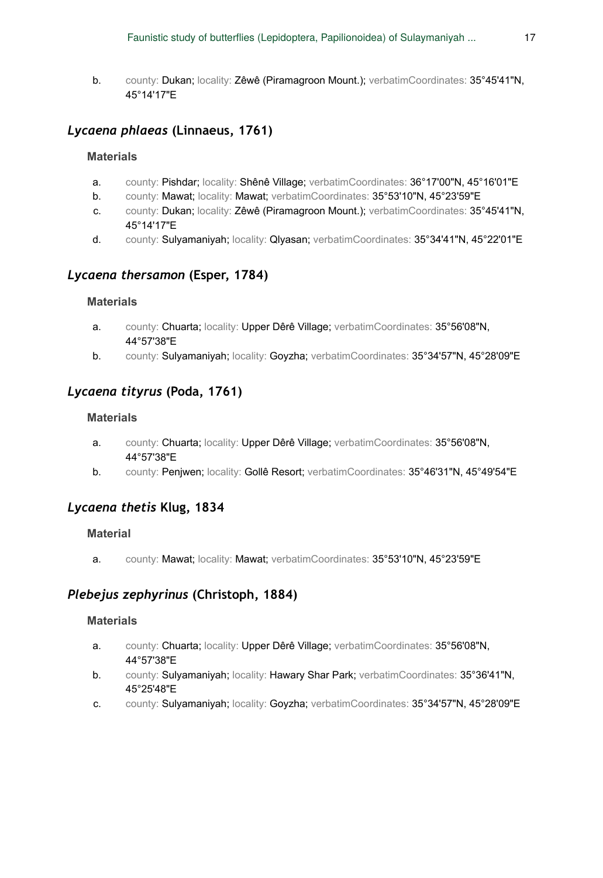b. county: Dukan; locality: Zêwê (Piramagroon Mount.); verbatimCoordinates: 35°45'41"N, 45°14'17"E

### *Lycaena phlaeas* **(Linnaeus, 1761)**

#### **Materials**

- a. county: Pishdar; locality: Shênê Village; verbatimCoordinates: 36°17'00"N, 45°16'01"E
- b. county: Mawat; locality: Mawat; verbatimCoordinates: 35°53'10"N, 45°23'59"E
- c. county: Dukan; locality: Zêwê (Piramagroon Mount.); verbatimCoordinates: 35°45'41"N, 45°14'17"E
- d. county: Sulyamaniyah; locality: Qlyasan; verbatimCoordinates: 35°34'41"N, 45°22'01"E

### *Lycaena thersamon* **(Esper, 1784)**

#### **Materials**

- a. county: Chuarta; locality: Upper Dêrê Village; verbatimCoordinates: 35°56'08"N, 44°57'38"E
- b. county: Sulyamaniyah; locality: Goyzha; verbatimCoordinates: 35°34'57"N, 45°28'09"E

### *Lycaena tityrus* **(Poda, 1761)**

#### **Materials**

- a. county: Chuarta; locality: Upper Dêrê Village; verbatimCoordinates: 35°56'08"N, 44°57'38"E
- b. county: Penjwen; locality: Gollê Resort; verbatimCoordinates: 35°46'31"N, 45°49'54"E

### *Lycaena thetis* **Klug, 1834**

#### **Material**

a. county: Mawat; locality: Mawat; verbatimCoordinates: 35°53'10"N, 45°23'59"E

### *Plebejus zephyrinus* **(Christoph, 1884)**

- a. county: Chuarta; locality: Upper Dêrê Village; verbatimCoordinates: 35°56'08"N, 44°57'38"E
- b. county: Sulyamaniyah; locality: Hawary Shar Park; verbatimCoordinates: 35°36'41"N, 45°25'48"E
- c. county: Sulyamaniyah; locality: Goyzha; verbatimCoordinates: 35°34'57"N, 45°28'09"E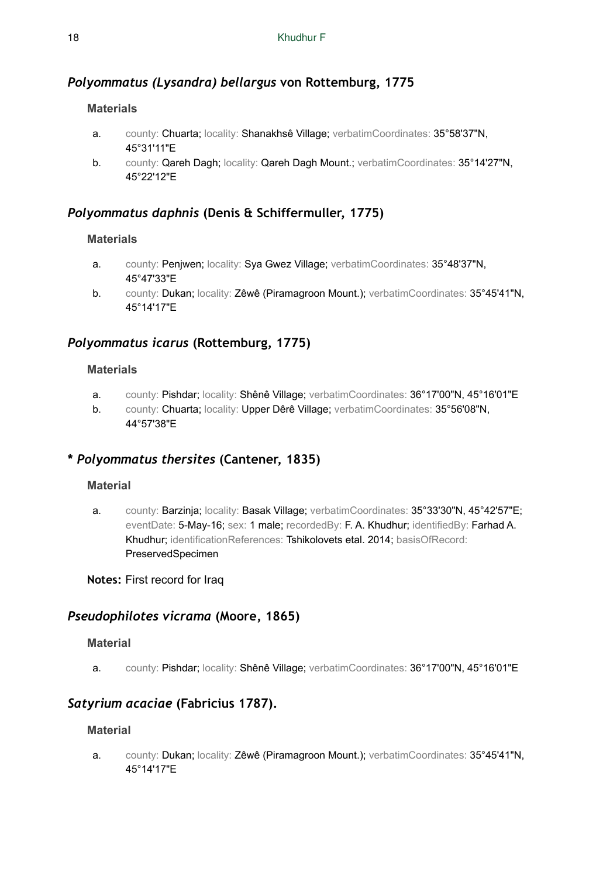### *Polyommatus (Lysandra) bellargus* **von Rottemburg, 1775**

### **Materials**

- a. county: Chuarta; locality: Shanakhsê Village; verbatimCoordinates: 35°58'37"N, 45°31'11"E
- b. county: Qareh Dagh; locality: Qareh Dagh Mount.; verbatimCoordinates: 35°14'27"N, 45°22'12"E

### *Polyommatus daphnis* **(Denis & Schiffermuller, 1775)**

### **Materials**

- a. county: Penjwen; locality: Sya Gwez Village; verbatimCoordinates: 35°48'37"N, 45°47'33"E
- b. county: Dukan; locality: Zêwê (Piramagroon Mount.); verbatimCoordinates: 35°45'41"N, 45°14'17"E

### *Polyommatus icarus* **(Rottemburg, 1775)**

### **Materials**

- a. county: Pishdar; locality: Shênê Village; verbatimCoordinates: 36°17'00"N, 45°16'01"E
- b. county: Chuarta; locality: Upper Dêrê Village; verbatimCoordinates: 35°56'08"N, 44°57'38"E

### **\*** *Polyommatus thersites* **(Cantener, 1835)**

### **Material**

a. county: Barzinja; locality: Basak Village; verbatimCoordinates: 35°33'30"N, 45°42'57"E; eventDate: 5-May-16; sex: 1 male; recordedBy: F. A. Khudhur; identifiedBy: Farhad A. Khudhur; identificationReferences: Tshikolovets etal. 2014; basisOfRecord: PreservedSpecimen

**Notes:** First record for Iraq

### *Pseudophilotes vicrama* **(Moore, 1865)**

### **Material**

a. county: Pishdar; locality: Shênê Village; verbatimCoordinates: 36°17'00"N, 45°16'01"E

### *Satyrium acaciae* **(Fabricius 1787).**

### **Material**

a. county: Dukan; locality: Zêwê (Piramagroon Mount.); verbatimCoordinates: 35°45'41"N, 45°14'17"E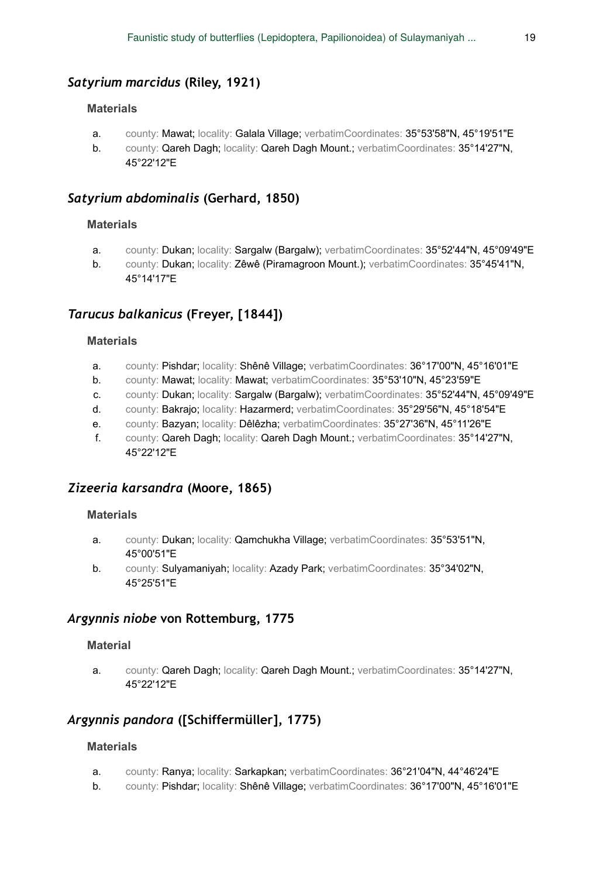### *Satyrium marcidus* **(Riley, 1921)**

#### **Materials**

- a. county: Mawat; locality: Galala Village; verbatimCoordinates: 35°53'58"N, 45°19'51"E
- b. county: Qareh Dagh; locality: Qareh Dagh Mount.; verbatimCoordinates: 35°14'27"N, 45°22'12"E

### *Satyrium abdominalis* **(Gerhard, 1850)**

### **Materials**

- a. county: Dukan; locality: Sargalw (Bargalw); verbatimCoordinates: 35°52'44"N, 45°09'49"E
- b. county: Dukan; locality: Zêwê (Piramagroon Mount.); verbatimCoordinates: 35°45'41"N, 45°14'17"E

### *Tarucus balkanicus* **(Freyer, [1844])**

#### **Materials**

- a. county: Pishdar; locality: Shênê Village; verbatimCoordinates: 36°17'00"N, 45°16'01"E
- b. county: Mawat; locality: Mawat; verbatimCoordinates: 35°53'10"N, 45°23'59"E
- c. county: Dukan; locality: Sargalw (Bargalw); verbatimCoordinates: 35°52'44"N, 45°09'49"E
- d. county: Bakrajo; locality: Hazarmerd; verbatimCoordinates: 35°29'56"N, 45°18'54"E
- e. county: Bazyan; locality: Dêlêzha; verbatimCoordinates: 35°27'36"N, 45°11'26"E
- f. county: Qareh Dagh; locality: Qareh Dagh Mount.; verbatimCoordinates: 35°14'27"N, 45°22'12"E

### *Zizeeria karsandra* **(Moore, 1865)**

#### **Materials**

- a. county: Dukan; locality: Qamchukha Village; verbatimCoordinates: 35°53'51"N, 45°00'51"E
- b. county: Sulyamaniyah; locality: Azady Park; verbatimCoordinates: 35°34'02"N, 45°25'51"E

### *Argynnis niobe* **von Rottemburg, 1775**

#### **Material**

a. county: Qareh Dagh; locality: Qareh Dagh Mount.; verbatimCoordinates: 35°14'27"N, 45°22'12"E

### *Argynnis pandora* **([Schiffermüller], 1775)**

- a. county: Ranya; locality: Sarkapkan; verbatimCoordinates: 36°21'04"N, 44°46'24"E
- b. county: Pishdar; locality: Shênê Village; verbatimCoordinates: 36°17'00"N, 45°16'01"E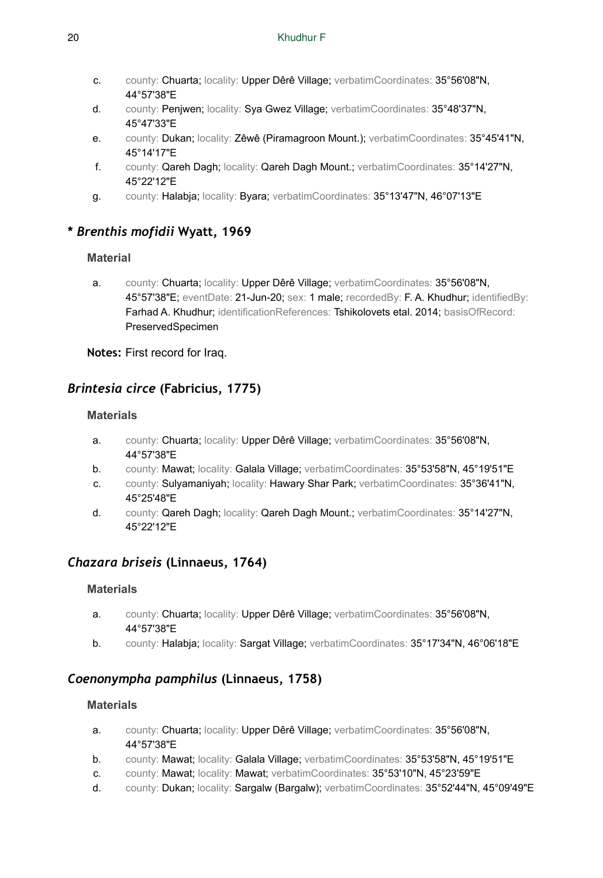- c. county: Chuarta; locality: Upper Dêrê Village; verbatimCoordinates: 35°56'08"N, 44°57'38"E
- d. county: Penjwen; locality: Sya Gwez Village; verbatimCoordinates: 35°48'37"N, 45°47'33"E
- e. county: Dukan; locality: Zêwê (Piramagroon Mount.); verbatimCoordinates: 35°45'41"N, 45°14'17"E
- f. county: Qareh Dagh; locality: Qareh Dagh Mount.; verbatimCoordinates: 35°14'27"N, 45°22'12"E
- g. county: Halabja; locality: Byara; verbatimCoordinates: 35°13'47"N, 46°07'13"E

### **\*** *Brenthis mofidii* **Wyatt, 1969**

### **Material**

a. county: Chuarta; locality: Upper Dêrê Village; verbatimCoordinates: 35°56'08"N, 45°57'38"E; eventDate: 21-Jun-20; sex: 1 male; recordedBy: F. A. Khudhur; identifiedBy: Farhad A. Khudhur; identificationReferences: Tshikolovets etal. 2014; basisOfRecord: PreservedSpecimen

**Notes:** First record for Iraq.

# *Brintesia circe* **(Fabricius, 1775)**

### **Materials**

- a. county: Chuarta; locality: Upper Dêrê Village; verbatimCoordinates: 35°56'08"N, 44°57'38"E
- b. county: Mawat; locality: Galala Village; verbatimCoordinates: 35°53'58"N, 45°19'51"E
- c. county: Sulyamaniyah; locality: Hawary Shar Park; verbatimCoordinates: 35°36'41"N, 45°25'48"E
- d. county: Qareh Dagh; locality: Qareh Dagh Mount.; verbatimCoordinates: 35°14'27"N, 45°22'12"E

### *Chazara briseis* **(Linnaeus, 1764)**

### **Materials**

- a. county: Chuarta; locality: Upper Dêrê Village; verbatimCoordinates: 35°56'08"N, 44°57'38"E
- b. county: Halabja; locality: Sargat Village; verbatimCoordinates: 35°17'34"N, 46°06'18"E

### *Coenonympha pamphilus* **(Linnaeus, 1758)**

- a. county: Chuarta; locality: Upper Dêrê Village; verbatimCoordinates: 35°56'08"N, 44°57'38"E
- b. county: Mawat; locality: Galala Village; verbatimCoordinates: 35°53'58"N, 45°19'51"E
- c. county: Mawat; locality: Mawat; verbatimCoordinates: 35°53'10"N, 45°23'59"E
- d. county: Dukan; locality: Sargalw (Bargalw); verbatimCoordinates: 35°52'44"N, 45°09'49"E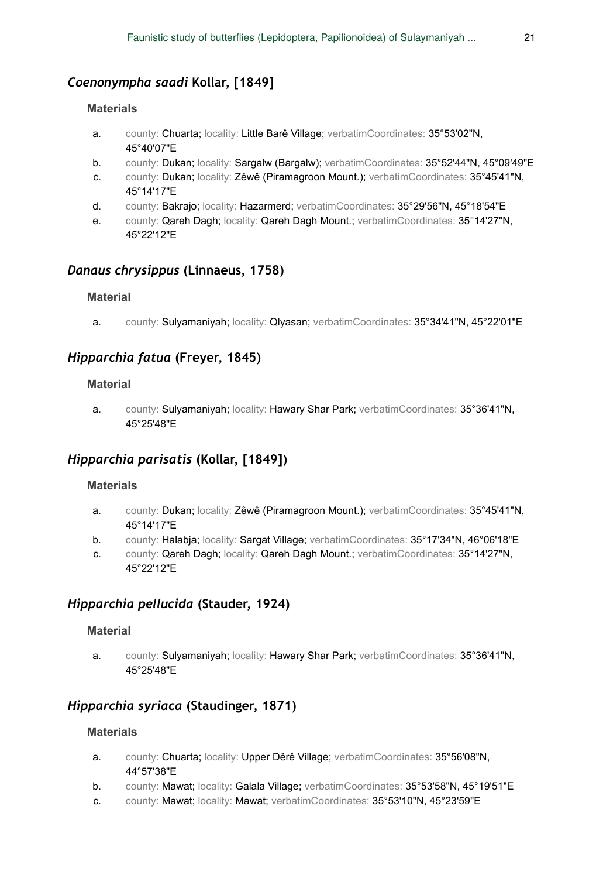### *Coenonympha saadi* **Kollar, [1849]**

#### **Materials**

- a. county: Chuarta; locality: Little Barê Village; verbatimCoordinates: 35°53'02"N, 45°40'07"E
- b. county: Dukan; locality: Sargalw (Bargalw); verbatimCoordinates: 35°52'44"N, 45°09'49"E
- c. county: Dukan; locality: Zêwê (Piramagroon Mount.); verbatimCoordinates: 35°45'41"N, 45°14'17"E
- d. county: Bakrajo; locality: Hazarmerd; verbatimCoordinates: 35°29'56"N, 45°18'54"E
- e. county: Qareh Dagh; locality: Qareh Dagh Mount.; verbatimCoordinates: 35°14'27"N, 45°22'12"E

### *Danaus chrysippus* **(Linnaeus, 1758)**

#### **Material**

a. county: Sulyamaniyah; locality: Qlyasan; verbatimCoordinates: 35°34'41"N, 45°22'01"E

### *Hipparchia fatua* **(Freyer, 1845)**

#### **Material**

a. county: Sulyamaniyah; locality: Hawary Shar Park; verbatimCoordinates: 35°36'41"N, 45°25'48"E

### *Hipparchia parisatis* **(Kollar, [1849])**

#### **Materials**

- a. county: Dukan; locality: Zêwê (Piramagroon Mount.); verbatimCoordinates: 35°45'41"N, 45°14'17"E
- b. county: Halabja; locality: Sargat Village; verbatimCoordinates: 35°17'34"N, 46°06'18"E
- c. county: Qareh Dagh; locality: Qareh Dagh Mount.; verbatimCoordinates: 35°14'27"N, 45°22'12"E

### *Hipparchia pellucida* **(Stauder, 1924)**

#### **Material**

a. county: Sulyamaniyah; locality: Hawary Shar Park; verbatimCoordinates: 35°36'41"N, 45°25'48"E

### *Hipparchia syriaca* **(Staudinger, 1871)**

- a. county: Chuarta; locality: Upper Dêrê Village; verbatimCoordinates: 35°56'08"N, 44°57'38"E
- b. county: Mawat; locality: Galala Village; verbatimCoordinates: 35°53'58"N, 45°19'51"E
- c. county: Mawat; locality: Mawat; verbatimCoordinates: 35°53'10"N, 45°23'59"E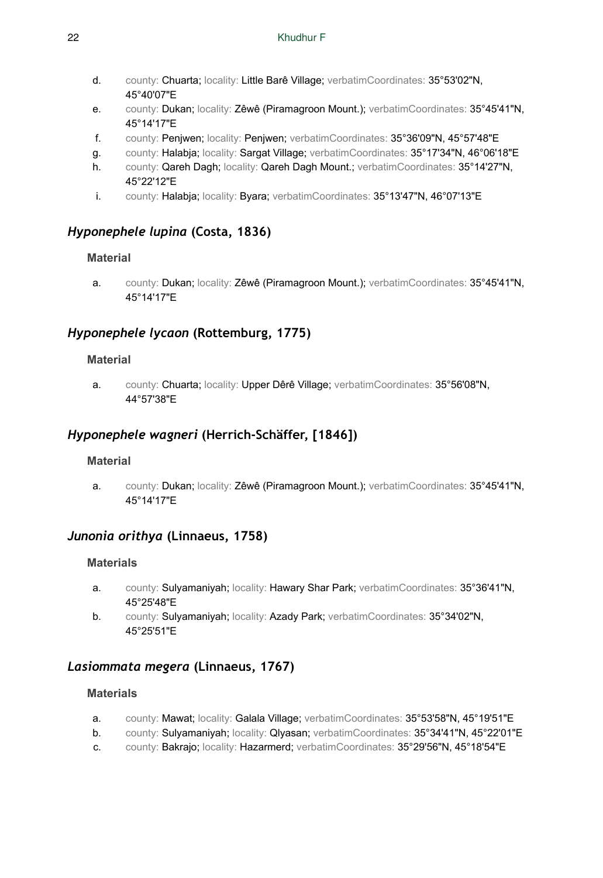- d. county: Chuarta; locality: Little Barê Village; verbatimCoordinates: 35°53'02"N, 45°40'07"E
- e. county: Dukan; locality: Zêwê (Piramagroon Mount.); verbatimCoordinates: 35°45'41"N, 45°14'17"E
- f. county: Penjwen; locality: Penjwen; verbatimCoordinates: 35°36'09"N, 45°57'48"E
- g. county: Halabja; locality: Sargat Village; verbatimCoordinates: 35°17'34"N, 46°06'18"E
- h. county: Qareh Dagh; locality: Qareh Dagh Mount.; verbatimCoordinates: 35°14'27"N, 45°22'12"E
- i. county: Halabja; locality: Byara; verbatimCoordinates: 35°13'47"N, 46°07'13"E

### *Hyponephele lupina* **(Costa, 1836)**

### **Material**

a. county: Dukan; locality: Zêwê (Piramagroon Mount.); verbatimCoordinates: 35°45'41"N, 45°14'17"E

### *Hyponephele lycaon* **(Rottemburg, 1775)**

### **Material**

a. county: Chuarta; locality: Upper Dêrê Village; verbatimCoordinates: 35°56'08"N, 44°57'38"E

### *Hyponephele wagneri* **(Herrich-Schäffer, [1846])**

### **Material**

a. county: Dukan; locality: Zêwê (Piramagroon Mount.); verbatimCoordinates: 35°45'41"N, 45°14'17"E

### *Junonia orithya* **(Linnaeus, 1758)**

### **Materials**

- a. county: Sulyamaniyah; locality: Hawary Shar Park; verbatimCoordinates: 35°36'41"N, 45°25'48"E
- b. county: Sulyamaniyah; locality: Azady Park; verbatimCoordinates: 35°34'02"N, 45°25'51"E

### *Lasiommata megera* **(Linnaeus, 1767)**

- a. county: Mawat; locality: Galala Village; verbatimCoordinates: 35°53'58"N, 45°19'51"E
- b. county: Sulyamaniyah; locality: Qlyasan; verbatimCoordinates: 35°34'41"N, 45°22'01"E
- c. county: Bakrajo; locality: Hazarmerd; verbatimCoordinates: 35°29'56"N, 45°18'54"E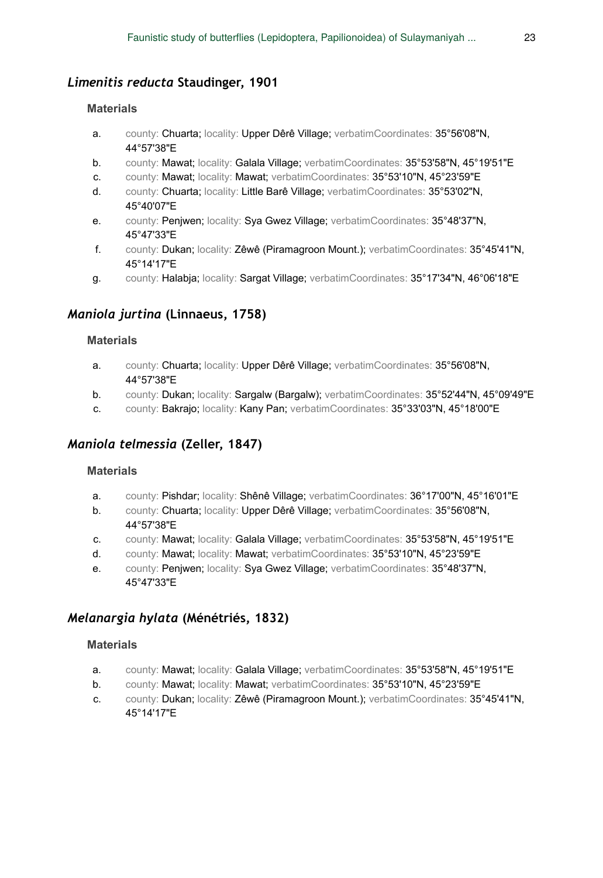### *Limenitis reducta* **Staudinger, 1901**

#### **Materials**

- a. county: Chuarta; locality: Upper Dêrê Village; verbatimCoordinates: 35°56'08"N, 44°57'38"E
- b. county: Mawat; locality: Galala Village; verbatimCoordinates: 35°53'58"N, 45°19'51"E
- c. county: Mawat; locality: Mawat; verbatimCoordinates: 35°53'10"N, 45°23'59"E
- d. county: Chuarta; locality: Little Barê Village; verbatimCoordinates: 35°53'02"N, 45°40'07"E
- e. county: Penjwen; locality: Sya Gwez Village; verbatimCoordinates: 35°48'37"N, 45°47'33"E
- f. county: Dukan; locality: Zêwê (Piramagroon Mount.); verbatimCoordinates: 35°45'41"N, 45°14'17"E
- g. county: Halabja; locality: Sargat Village; verbatimCoordinates: 35°17'34"N, 46°06'18"E

### *Maniola jurtina* **(Linnaeus, 1758)**

### **Materials**

- a. county: Chuarta; locality: Upper Dêrê Village; verbatimCoordinates: 35°56'08"N, 44°57'38"E
- b. county: Dukan; locality: Sargalw (Bargalw); verbatimCoordinates: 35°52'44"N, 45°09'49"E
- c. county: Bakrajo; locality: Kany Pan; verbatimCoordinates: 35°33'03"N, 45°18'00"E

### *Maniola telmessia* **(Zeller, 1847)**

### **Materials**

- a. county: Pishdar; locality: Shênê Village; verbatimCoordinates: 36°17'00"N, 45°16'01"E
- b. county: Chuarta; locality: Upper Dêrê Village; verbatimCoordinates: 35°56'08"N, 44°57'38"E
- c. county: Mawat; locality: Galala Village; verbatimCoordinates: 35°53'58"N, 45°19'51"E
- d. county: Mawat; locality: Mawat; verbatimCoordinates: 35°53'10"N, 45°23'59"E
- e. county: Penjwen; locality: Sya Gwez Village; verbatimCoordinates: 35°48'37"N, 45°47'33"E

### *Melanargia hylata* **(Ménétriés, 1832)**

- a. county: Mawat; locality: Galala Village; verbatimCoordinates: 35°53'58"N, 45°19'51"E
- b. county: Mawat; locality: Mawat; verbatimCoordinates: 35°53'10"N, 45°23'59"E
- c. county: Dukan; locality: Zêwê (Piramagroon Mount.); verbatimCoordinates: 35°45'41"N, 45°14'17"E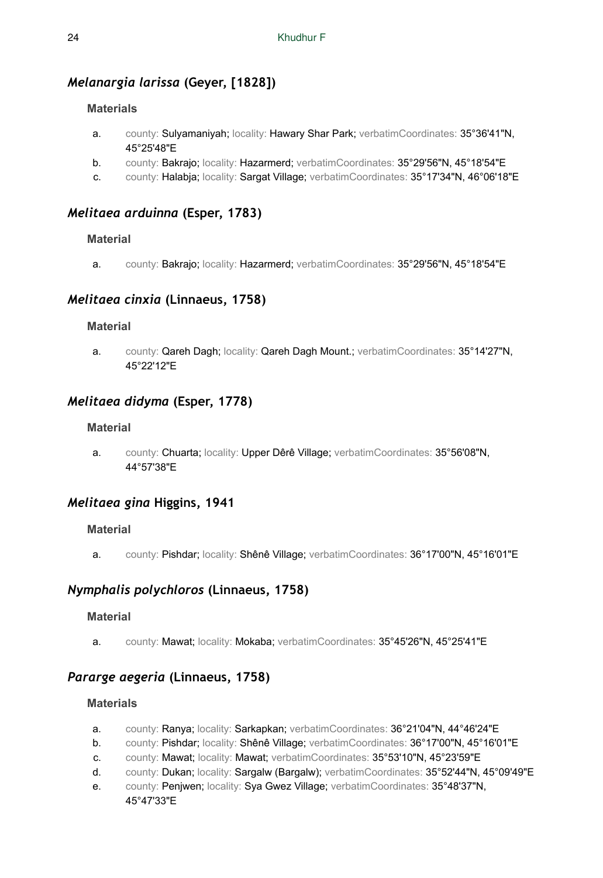# *Melanargia larissa* **(Geyer, [1828])**

### **Materials**

- a. county: Sulyamaniyah; locality: Hawary Shar Park; verbatimCoordinates: 35°36'41"N, 45°25'48"E
- b. county: Bakrajo; locality: Hazarmerd; verbatimCoordinates: 35°29'56"N, 45°18'54"E
- c. county: Halabja; locality: Sargat Village; verbatimCoordinates: 35°17'34"N, 46°06'18"E

### *Melitaea arduinna* **(Esper, 1783)**

### **Material**

a. county: Bakrajo; locality: Hazarmerd; verbatimCoordinates: 35°29'56"N, 45°18'54"E

### *Melitaea cinxia* **(Linnaeus, 1758)**

### **Material**

a. county: Qareh Dagh; locality: Qareh Dagh Mount.; verbatimCoordinates: 35°14'27"N, 45°22'12"E

### *Melitaea didyma* **(Esper, 1778)**

### **Material**

a. county: Chuarta; locality: Upper Dêrê Village; verbatimCoordinates: 35°56'08"N, 44°57'38"E

### *Melitaea gina* **Higgins, 1941**

### **Material**

a. county: Pishdar; locality: Shênê Village; verbatimCoordinates: 36°17'00"N, 45°16'01"E

### *Nymphalis polychloros* **(Linnaeus, 1758)**

### **Material**

a. county: Mawat; locality: Mokaba; verbatimCoordinates: 35°45'26"N, 45°25'41"E

### *Pararge aegeria* **(Linnaeus, 1758)**

- a. county: Ranya; locality: Sarkapkan; verbatimCoordinates: 36°21'04"N, 44°46'24"E
- b. county: Pishdar; locality: Shênê Village; verbatimCoordinates: 36°17'00"N, 45°16'01"E
- c. county: Mawat; locality: Mawat; verbatimCoordinates: 35°53'10"N, 45°23'59"E
- d. county: Dukan; locality: Sargalw (Bargalw); verbatimCoordinates: 35°52'44"N, 45°09'49"E
- e. county: Penjwen; locality: Sya Gwez Village; verbatimCoordinates: 35°48'37"N, 45°47'33"E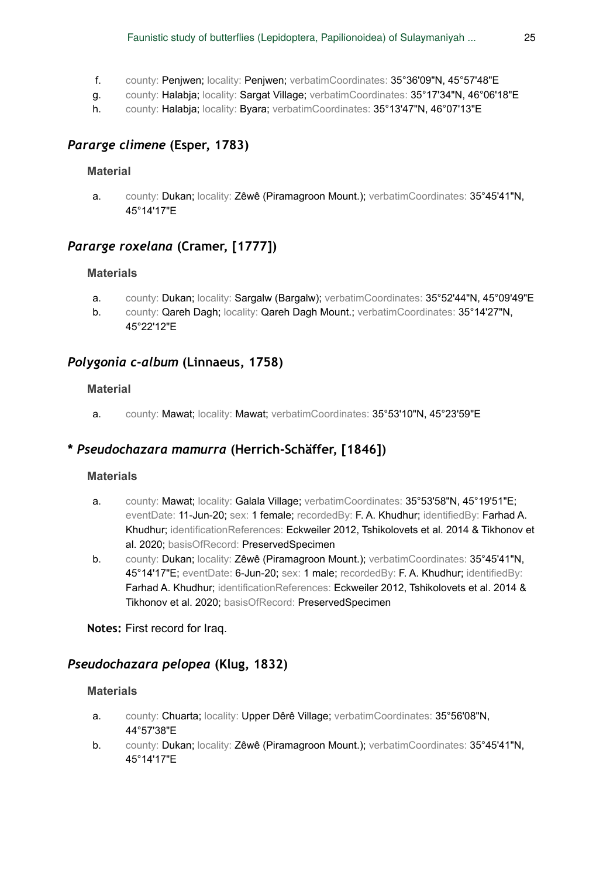- f. county: Penjwen; locality: Penjwen; verbatimCoordinates: 35°36'09"N, 45°57'48"E
- g. county: Halabja; locality: Sargat Village; verbatimCoordinates: 35°17'34"N, 46°06'18"E
- h. county: Halabja; locality: Byara; verbatimCoordinates: 35°13'47"N, 46°07'13"E

### *Pararge climene* **(Esper, 1783)**

### **Material**

a. county: Dukan; locality: Zêwê (Piramagroon Mount.); verbatimCoordinates: 35°45'41"N, 45°14'17"E

### *Pararge roxelana* **(Cramer, [1777])**

#### **Materials**

- a. county: Dukan; locality: Sargalw (Bargalw); verbatimCoordinates: 35°52'44"N, 45°09'49"E
- b. county: Qareh Dagh; locality: Qareh Dagh Mount.; verbatimCoordinates: 35°14'27"N, 45°22'12"E

### *Polygonia c-album* **(Linnaeus, 1758)**

#### **Material**

a. county: Mawat; locality: Mawat; verbatimCoordinates: 35°53'10"N, 45°23'59"E

### **\*** *Pseudochazara mamurra* **(Herrich-Schäffer, [1846])**

#### **Materials**

- a. county: Mawat; locality: Galala Village; verbatimCoordinates: 35°53'58"N, 45°19'51"E; eventDate: 11-Jun-20; sex: 1 female; recordedBy: F. A. Khudhur; identifiedBy: Farhad A. Khudhur; identificationReferences: Eckweiler 2012, Tshikolovets et al. 2014 & Tikhonov et al. 2020; basisOfRecord: PreservedSpecimen
- b. county: Dukan; locality: Zêwê (Piramagroon Mount.); verbatimCoordinates: 35°45'41"N, 45°14'17"E; eventDate: 6-Jun-20; sex: 1 male; recordedBy: F. A. Khudhur; identifiedBy: Farhad A. Khudhur; identificationReferences: Eckweiler 2012, Tshikolovets et al. 2014 & Tikhonov et al. 2020; basisOfRecord: PreservedSpecimen

**Notes:** First record for Iraq.

### *Pseudochazara pelopea* **(Klug, 1832)**

- a. county: Chuarta; locality: Upper Dêrê Village; verbatimCoordinates: 35°56'08"N, 44°57'38"E
- b. county: Dukan; locality: Zêwê (Piramagroon Mount.); verbatimCoordinates: 35°45'41"N, 45°14'17"E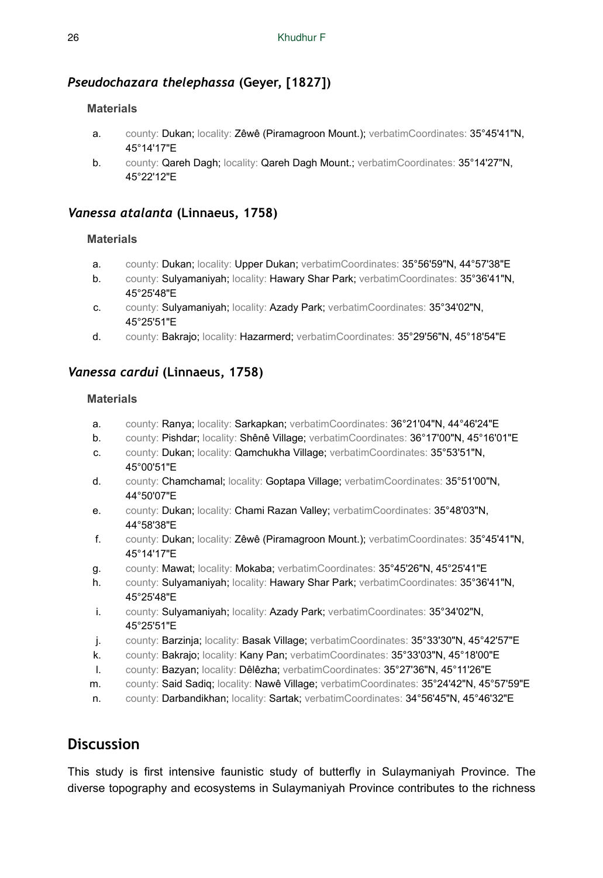# *Pseudochazara thelephassa* **(Geyer, [1827])**

### **Materials**

- a. county: Dukan; locality: Zêwê (Piramagroon Mount.); verbatimCoordinates: 35°45'41"N, 45°14'17"E
- b. county: Qareh Dagh; locality: Qareh Dagh Mount.; verbatimCoordinates: 35°14'27"N, 45°22'12"E

### *Vanessa atalanta* **(Linnaeus, 1758)**

### **Materials**

- a. county: Dukan; locality: Upper Dukan; verbatimCoordinates: 35°56'59"N, 44°57'38"E
- b. county: Sulyamaniyah; locality: Hawary Shar Park; verbatimCoordinates: 35°36'41"N, 45°25'48"E
- c. county: Sulyamaniyah; locality: Azady Park; verbatimCoordinates: 35°34'02"N, 45°25'51"E
- d. county: Bakrajo; locality: Hazarmerd; verbatimCoordinates: 35°29'56"N, 45°18'54"E

### *Vanessa cardui* **(Linnaeus, 1758)**

### **Materials**

- a. county: Ranya; locality: Sarkapkan; verbatimCoordinates: 36°21'04"N, 44°46'24"E
- b. county: Pishdar; locality: Shênê Village; verbatimCoordinates: 36°17'00"N, 45°16'01"E
- c. county: Dukan; locality: Qamchukha Village; verbatimCoordinates: 35°53'51"N, 45°00'51"E
- d. county: Chamchamal; locality: Goptapa Village; verbatimCoordinates: 35°51'00"N, 44°50'07"E
- e. county: Dukan; locality: Chami Razan Valley; verbatimCoordinates: 35°48'03"N, 44°58'38"E
- f. county: Dukan; locality: Zêwê (Piramagroon Mount.); verbatimCoordinates: 35°45'41"N, 45°14'17"E
- g. county: Mawat; locality: Mokaba; verbatimCoordinates: 35°45'26"N, 45°25'41"E
- h. county: Sulyamaniyah; locality: Hawary Shar Park; verbatimCoordinates: 35°36'41"N, 45°25'48"E
- i. county: Sulyamaniyah; locality: Azady Park; verbatimCoordinates: 35°34'02"N, 45°25'51"E
- j. county: Barzinja; locality: Basak Village; verbatimCoordinates: 35°33'30"N, 45°42'57"E
- k. county: Bakrajo; locality: Kany Pan; verbatimCoordinates: 35°33'03"N, 45°18'00"E
- l. county: Bazyan; locality: Dêlêzha; verbatimCoordinates: 35°27'36"N, 45°11'26"E
- m. county: Said Sadiq; locality: Nawê Village; verbatimCoordinates: 35°24'42"N, 45°57'59"E
- n. county: Darbandikhan; locality: Sartak; verbatimCoordinates: 34°56'45"N, 45°46'32"E

# **Discussion**

This study is first intensive faunistic study of butterfly in Sulaymaniyah Province. The diverse topography and ecosystems in Sulaymaniyah Province contributes to the richness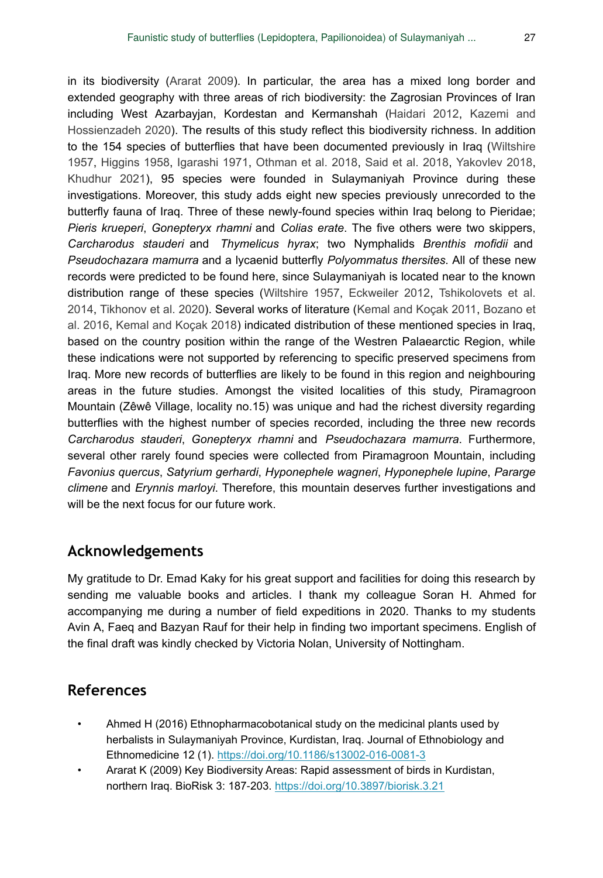in its biodiversity [\(Ararat 2009](#page-26-0)). In particular, the area has a mixed long border and extended geography with three areas of rich biodiversity: the Zagrosian Provinces of Iran including West Azarbayjan, Kordestan and Kermanshah [\(Haidari 2012,](#page-27-13) [Kazemi and](#page-27-14) [Hossienzadeh 2020\)](#page-27-14). The results of this study reflect this biodiversity richness. In addition to the 154 species of butterflies that have been documented previously in Iraq ([Wiltshire](#page-28-2) [1957](#page-28-2), [Higgins 1958,](#page-27-3) [Igarashi 1971,](#page-27-4) [Othman et al. 2018](#page-27-8), [Said et al. 2018,](#page-27-9) [Yakovlev 2018,](#page-28-10) [Khudhur 2021](#page-27-10)), 95 species were founded in Sulaymaniyah Province during these investigations. Moreover, this study adds eight new species previously unrecorded to the butterfly fauna of Iraq. Three of these newly-found species within Iraq belong to Pieridae; *Pieris krueperi*, *Gonepteryx rhamni* and *Colias erate*. The five others were two skippers, *Carcharodus stauderi* and *Thymelicus hyrax*; two Nymphalids *Brenthis mofidii* and *Pseudochazara mamurra* and a lycaenid butterfly *Polyommatus thersites*. All of these new records were predicted to be found here, since Sulaymaniyah is located near to the known distribution range of these species [\(Wiltshire 1957](#page-28-2), [Eckweiler 2012](#page-27-15), [Tshikolovets et al.](#page-28-9) [2014](#page-28-9), [Tikhonov et al. 2020\)](#page-28-11). Several works of literature ([Kemal and Koçak 2011,](#page-27-5) [Bozano et](#page-27-16) [al. 2016,](#page-27-16) [Kemal and Koçak 2018\)](#page-27-6) indicated distribution of these mentioned species in Iraq, based on the country position within the range of the Westren Palaearctic Region, while these indications were not supported by referencing to specific preserved specimens from Iraq. More new records of butterflies are likely to be found in this region and neighbouring areas in the future studies. Amongst the visited localities of this study, Piramagroon Mountain (Zêwê Village, locality no.15) was unique and had the richest diversity regarding butterflies with the highest number of species recorded, including the three new records *Carcharodus stauderi*, *Gonepteryx rhamni* and *Pseudochazara mamurra*. Furthermore, several other rarely found species were collected from Piramagroon Mountain, including *Favonius quercus*, *Satyrium gerhardi*, *Hyponephele wagneri*, *Hyponephele lupine*, *Pararge climene* and *Erynnis marloyi*. Therefore, this mountain deserves further investigations and will be the next focus for our future work.

# **Acknowledgements**

My gratitude to Dr. Emad Kaky for his great support and facilities for doing this research by sending me valuable books and articles. I thank my colleague Soran H. Ahmed for accompanying me during a number of field expeditions in 2020. Thanks to my students Avin A, Faeq and Bazyan Rauf for their help in finding two important specimens. English of the final draft was kindly checked by Victoria Nolan, University of Nottingham.

# **References**

- <span id="page-26-1"></span>• Ahmed H (2016) Ethnopharmacobotanical study on the medicinal plants used by herbalists in Sulaymaniyah Province, Kurdistan, Iraq. Journal of Ethnobiology and Ethnomedicine 12 (1).<https://doi.org/10.1186/s13002-016-0081-3>
- <span id="page-26-0"></span>• Ararat K (2009) Key Biodiversity Areas: Rapid assessment of birds in Kurdistan, northern Iraq. BioRisk 3: 187‑203.<https://doi.org/10.3897/biorisk.3.21>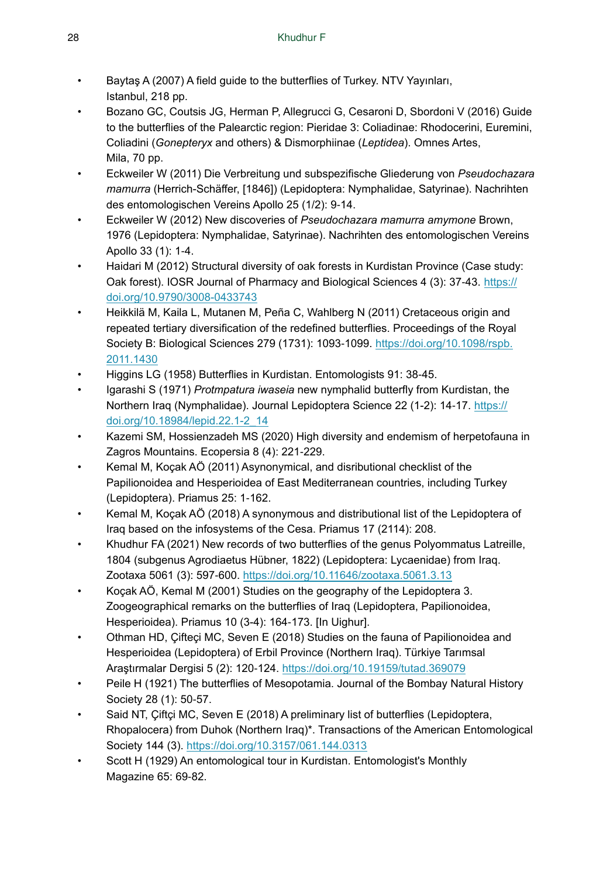- <span id="page-27-11"></span>• Baytaş A (2007) A field guide to the butterflies of Turkey. NTV Yayınları, Istanbul, 218 pp.
- <span id="page-27-16"></span>• Bozano GC, Coutsis JG, Herman P, Allegrucci G, Cesaroni D, Sbordoni V (2016) Guide to the butterflies of the Palearctic region: Pieridae 3: Coliadinae: Rhodocerini, Euremini, Coliadini (*Gonepteryx* and others) & Dismorphiinae (*Leptidea*). Omnes Artes, Mila, 70 pp.
- <span id="page-27-12"></span>• Eckweiler W (2011) Die Verbreitung und subspezifische Gliederung von *Pseudochazara mamurra* (Herrich-Schäffer, [1846]) (Lepidoptera: Nymphalidae, Satyrinae). Nachrihten des entomologischen Vereins Apollo 25 (1/2): 9‑14.
- <span id="page-27-15"></span>• Eckweiler W (2012) New discoveries of *Pseudochazara mamurra amymone* Brown, 1976 (Lepidoptera: Nymphalidae, Satyrinae). Nachrihten des entomologischen Vereins Apollo 33 (1): 1‑4.
- <span id="page-27-13"></span>• Haidari M (2012) Structural diversity of oak forests in Kurdistan Province (Case study: Oak forest). IOSR Journal of Pharmacy and Biological Sciences 4 (3): 37-43. [https://](https://doi.org/10.9790/3008-0433743) [doi.org/10.9790/3008-0433743](https://doi.org/10.9790/3008-0433743)
- <span id="page-27-0"></span>• Heikkilä M, Kaila L, Mutanen M, Peña C, Wahlberg N (2011) Cretaceous origin and repeated tertiary diversification of the redefined butterflies. Proceedings of the Royal Society B: Biological Sciences 279 (1731): 1093-1099. [https://doi.org/10.1098/rspb.](https://doi.org/10.1098/rspb.2011.1430) [2011.1430](https://doi.org/10.1098/rspb.2011.1430)
- <span id="page-27-3"></span>• Higgins LG (1958) Butterflies in Kurdistan. Entomologists 91: 38‑45.
- <span id="page-27-4"></span>• Igarashi S (1971) *Protmpatura iwaseia* new nymphalid butterfly from Kurdistan, the Northern Iraq (Nymphalidae). Journal Lepidoptera Science 22 (1-2): 14‑17. [https://](https://doi.org/10.18984/lepid.22.1-2_14) [doi.org/10.18984/lepid.22.1-2\\_14](https://doi.org/10.18984/lepid.22.1-2_14)
- <span id="page-27-14"></span>• Kazemi SM, Hossienzadeh MS (2020) High diversity and endemism of herpetofauna in Zagros Mountains. Ecopersia 8 (4): 221‑229.
- <span id="page-27-5"></span>• Kemal M, Koçak AÖ (2011) Asynonymical, and disributional checklist of the Papilionoidea and Hesperioidea of East Mediterranean countries, including Turkey (Lepidoptera). Priamus 25: 1‑162.
- <span id="page-27-6"></span>• Kemal M, Koçak AÖ (2018) A synonymous and distributional list of the Lepidoptera of Iraq based on the infosystems of the Cesa. Priamus 17 (2114): 208.
- <span id="page-27-10"></span>• Khudhur FA (2021) New records of two butterflies of the genus Polyommatus Latreille, 1804 (subgenus Agrodiaetus Hübner, 1822) (Lepidoptera: Lycaenidae) from Iraq. Zootaxa 5061 (3): 597‑600.<https://doi.org/10.11646/zootaxa.5061.3.13>
- <span id="page-27-7"></span>• Koçak AÖ, Kemal M (2001) Studies on the geography of the Lepidoptera 3. Zoogeographical remarks on the butterflies of Iraq (Lepidoptera, Papilionoidea, Hesperioidea). Priamus 10 (3-4): 164‑173. [In Uighur].
- <span id="page-27-8"></span>• Othman HD, Çifteçi MC, Seven E (2018) Studies on the fauna of Papilionoidea and Hesperioidea (Lepidoptera) of Erbil Province (Northern Iraq). Türkiye Tarımsal Araştırmalar Dergisi 5 (2): 120‑124. <https://doi.org/10.19159/tutad.369079>
- <span id="page-27-1"></span>• Peile H (1921) The butterflies of Mesopotamia. Journal of the Bombay Natural History Society 28 (1): 50‑57.
- <span id="page-27-9"></span>• Said NT, Çiftçi MC, Seven E (2018) A preliminary list of butterflies (Lepidoptera, Rhopalocera) from Duhok (Northern Iraq)\*. Transactions of the American Entomological Society 144 (3). <https://doi.org/10.3157/061.144.0313>
- <span id="page-27-2"></span>Scott H (1929) An entomological tour in Kurdistan. Entomologist's Monthly Magazine 65: 69‑82.